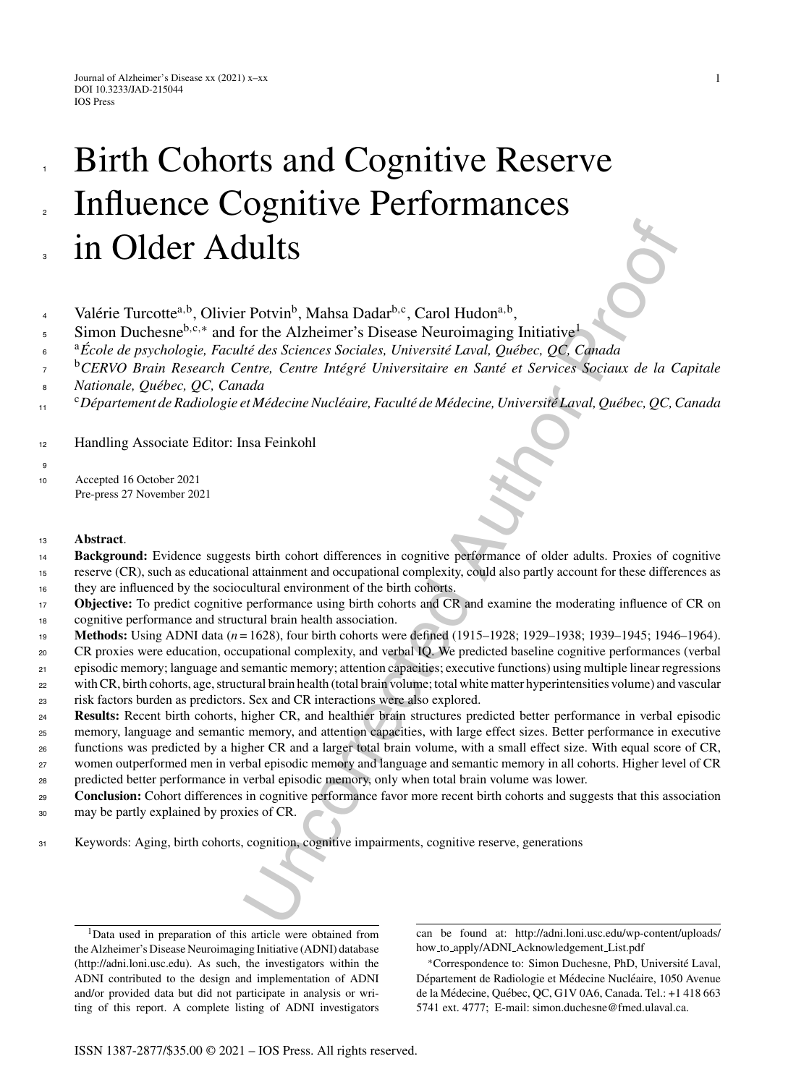# **LULUS**<br> **ULLUS**<br> **Potvin<sup>b</sup>**, Mahsa Dadar<sup>hoc</sup>, Carol Hudon<sup>a,b</sup>,<br>
For the Alzheimer's Disease Neuroimaging Initiative<sup>1</sup><br> *Lie das Sciences Sociales, Universität Laval, Québec, QC, Canada<br>
ada<br>
ada<br>
add<br>
terfit in the e* Birth Cohorts and Cognitive Reserve Influence Cognitive Performances in Older Adults 1 2 3

- Valérie Turcotte<sup>a,b</sup>, Olivier Potvin<sup>b</sup>, Mahsa Dadar<sup>b,c</sup>, Carol Hudon<sup>a,b</sup>, 4
- Simon Duchesne<sup>b,c,\*</sup> and for the Alzheimer's Disease Neuroimaging Initiative<sup>1</sup> 5
- <sup>a</sup>*Ecole de psychologie, Facult´ ´* <sup>6</sup> *e des Sciences Sociales, Universit´e Laval, Qu´ebec, QC, Canada*
- <sup>b</sup>CERVO Brain Research Centre, Centre Intégré Universitaire en Santé et Services Sociaux de la Capitale 7
- *Nationale, Qu´ebec, QC, Canada* 8
- <sup>c</sup>*D´epartement de Radiologie et M´edecine Nucl´eaire, Facult´e de M´edecine, Universit´e Laval, Qu´ebec, QC, Canada* 11

<sup>12</sup> Handling Associate Editor: Insa Feinkohl

<sup>10</sup> Accepted 16 October 2021 Pre-press 27 November 2021

## <sup>13</sup> **Abstract**.

9

- **Background:** Evidence suggests birth cohort differences in cognitive performance of older adults. Proxies of cognitive reserve (CR), such as educational attainment and occupational complexity, could also partly account for these differences as 14 15
- they are influenced by the sociocultural environment of the birth cohorts. 16
- **Objective:** To predict cognitive performance using birth cohorts and CR and examine the moderating influence of CR on cognitive performance and structural brain health association. 17 18
- **Methods:** Using ADNI data (*n* = 1628), four birth cohorts were defined (1915–1928; 1929–1938; 1939–1945; 1946–1964). 19
- CR proxies were education, occupational complexity, and verbal IQ. We predicted baseline cognitive performances (verbal  $20$
- episodic memory; language and semantic memory; attention capacities; executive functions) using multiple linear regressions with CR, birth cohorts, age, structural brain health (total brain volume; total white matter hyperintensities volume) and vascular 21 22
- risk factors burden as predictors. Sex and CR interactions were also explored. 23
- **Results:** Recent birth cohorts, higher CR, and healthier brain structures predicted better performance in verbal episodic 24
- memory, language and semantic memory, and attention capacities, with large effect sizes. Better performance in executive 25
- functions was predicted by a higher CR and a larger total brain volume, with a small effect size. With equal score of CR, 26
- women outperformed men in verbal episodic memory and language and semantic memory in all cohorts. Higher level of CR 27
- predicted better performance in verbal episodic memory, only when total brain volume was lower.  $28$
- **Conclusion:** Cohort differences in cognitive performance favor more recent birth cohorts and suggests that this association may be partly explained by proxies of CR. 29 30
- 
- <sup>31</sup> Keywords: Aging, birth cohorts, cognition, cognitive impairments, cognitive reserve, generations

<sup>1</sup>Data used in preparation of this article were obtained from the Alzheimer's Disease Neuroimaging Initiative (ADNI) database ([http://adni.loni.usc.edu\)](http://adni.loni.usc.edu). As such, the investigators within the ADNI contributed to the design and implementation of ADNI and/or provided data but did not participate in analysis or writing of this report. A complete listing of ADNI investigators can be found at: [http://adni.loni.usc.edu/wp-content/uploads/](http://adni.loni.usc.edu/wp-content/uploads/how_to_apply/ADNI_Acknowledgement_List.pdf) how to apply/ADNI Acknowledgement List.pdf

<sup>∗</sup>Correspondence to: Simon Duchesne, PhD, Universite Laval, ´ Département de Radiologie et Médecine Nucléaire, 1050 Avenue de la Médecine, Québec, QC, G1V 0A6, Canada. Tel.: +1 418 663 5741 ext. 4777; E-mail: [simon.duchesne@fmed.ulaval.ca](mailto:simon.duchesne@fmed.ulaval.ca).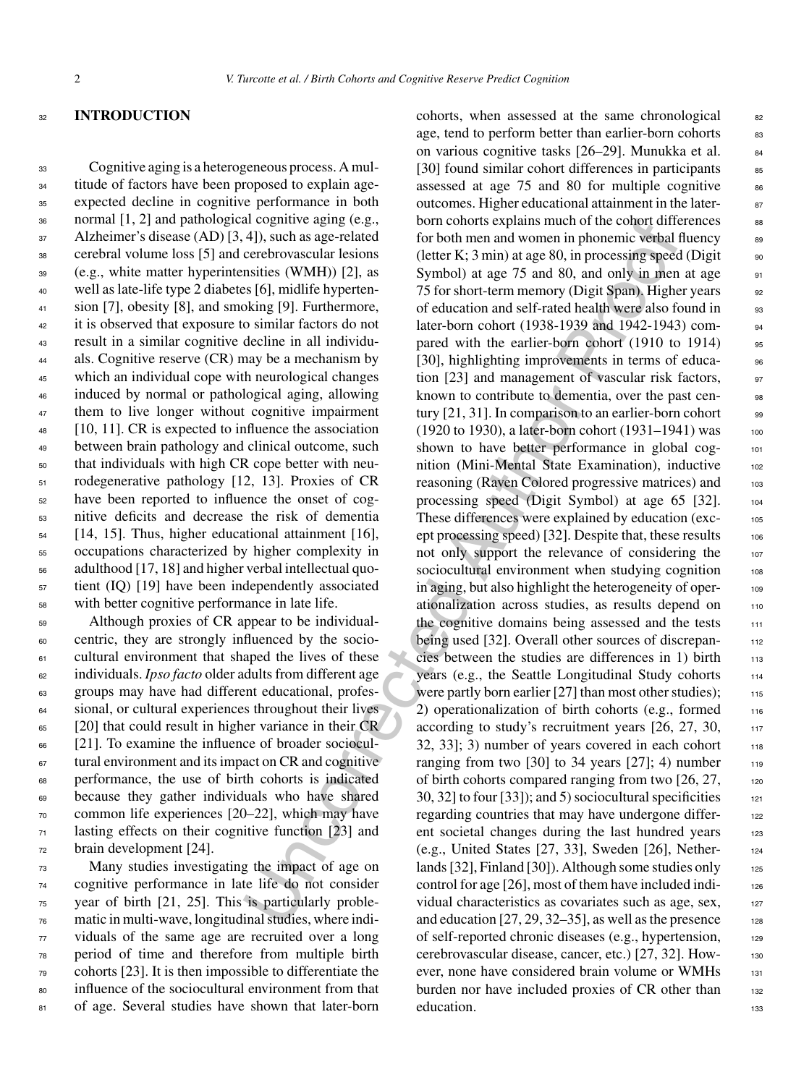#### <sup>32</sup> **INTRODUCTION**

 Cognitive aging is a heterogeneous process. A mul- titude of factors have been proposed to explain age- expected decline in cognitive performance in both normal [1, 2] and pathological cognitive aging (e.g., Alzheimer's disease (AD) [3, 4]), such as age-related cerebral volume loss [5] and cerebrovascular lesions (e.g., white matter hyperintensities (WMH)) [2], as well as late-life type 2 diabetes [6], midlife hyperten- sion [7], obesity [8], and smoking [9]. Furthermore, it is observed that exposure to similar factors do not result in a similar cognitive decline in all individu- als. Cognitive reserve (CR) may be a mechanism by which an individual cope with neurological changes induced by normal or pathological aging, allowing 47 them to live longer without cognitive impairment [10, 11]. CR is expected to influence the association between brain pathology and clinical outcome, such that individuals with high CR cope better with neu- rodegenerative pathology [12, 13]. Proxies of CR have been reported to influence the onset of cog- nitive deficits and decrease the risk of dementia [14, 15]. Thus, higher educational attainment [16], occupations characterized by higher complexity in adulthood [17, 18] and higher verbal intellectual quo- tient (IQ) [19] have been independently associated with better cognitive performance in late life.

 Although proxies of CR appear to be individual- centric, they are strongly influenced by the socio- cultural environment that shaped the lives of these individuals. *Ipso facto* older adults from different age groups may have had different educational, profes-<sup>64</sup> sional, or cultural experiences throughout their lives [20] that could result in higher variance in their CR [21]. To examine the influence of broader sociocul- tural environment and its impact on CR and cognitive performance, the use of birth cohorts is indicated because they gather individuals who have shared common life experiences [20–22], which may have lasting effects on their cognitive function [23] and brain development [24].

 Many studies investigating the impact of age on cognitive performance in late life do not consider year of birth [21, 25]. This is particularly proble- matic in multi-wave, longitudinal studies, where indi- viduals of the same age are recruited over a long period of time and therefore from multiple birth cohorts [23]. It is then impossible to differentiate the influence of the sociocultural environment from that 81 of age. Several studies have shown that later-born

ar cognitive aignig (e.g.,<br>born contors explains much of the colord difference between the standar sincessing spectroms<br>certebrowscale resisting (the tries in the control of the control of the control of the control of the cohorts, when assessed at the same chronological 82 age, tend to perform better than earlier-born cohorts 83 on various cognitive tasks [26–29]. Munukka et al. 84 [30] found similar cohort differences in participants  $85$ assessed at age  $75$  and  $80$  for multiple cognitive  $86$ outcomes. Higher educational attainment in the laterborn cohorts explains much of the cohort differences 88 for both men and women in phonemic verbal fluency  $\frac{89}{89}$ (letter K; 3 min) at age 80, in processing speed (Digit  $\qquad$  90 Symbol) at age 75 and 80, and only in men at age  $\frac{91}{2}$ 75 for short-term memory (Digit Span). Higher years <sup>92</sup> of education and self-rated health were also found in 93 later-born cohort (1938-1939 and 1942-1943) compared with the earlier-born cohort (1910 to 1914) 95 [30], highlighting improvements in terms of educa- 96 tion [23] and management of vascular risk factors,  $\frac{97}{20}$ known to contribute to dementia, over the past cen-<br>set tury  $[21, 31]$ . In comparison to an earlier-born cohort  $\qquad$  99  $(1920 \text{ to } 1930)$ , a later-born cohort  $(1931-1941)$  was 100 shown to have better performance in global cognition (Mini-Mental State Examination), inductive 102 reasoning (Raven Colored progressive matrices) and 103 processing speed (Digit Symbol) at age 65 [32]. 104 These differences were explained by education (exc-<br>105 ept processing speed) [32]. Despite that, these results 106 not only support the relevance of considering the 107 sociocultural environment when studying cognition 108 in aging, but also highlight the heterogeneity of operationalization across studies, as results depend on 110 the cognitive domains being assessed and the tests 111 being used [32]. Overall other sources of discrepancies between the studies are differences in 1) birth  $113$ years (e.g., the Seattle Longitudinal Study cohorts 114 were partly born earlier  $[27]$  than most other studies);  $115$ 2) operationalization of birth cohorts (e.g., formed  $_{116}$ according to study's recruitment years  $[26, 27, 30, \dots]$ 32, 33]; 3) number of years covered in each cohort  $118$ ranging from two [30] to 34 years [27]; 4) number  $\frac{1}{118}$ of birth cohorts compared ranging from two  $[26, 27,$  120 30, 32] to four [33]); and 5) sociocultural specificities  $121$ regarding countries that may have undergone differ-<br>122 ent societal changes during the last hundred years 123 (e.g., United States [27, 33], Sweden [26], Nether- <sup>124</sup> lands [32], Finland [30]). Although some studies only 125 control for age [26], most of them have included individual characteristics as covariates such as age, sex, 127 and education  $[27, 29, 32-35]$ , as well as the presence 128 of self-reported chronic diseases (e.g., hypertension, <sup>129</sup> cerebrovascular disease, cancer, etc.) [27, 32]. How- <sup>130</sup> ever, none have considered brain volume or WMHs 131 burden nor have included proxies of CR other than 132 education. 133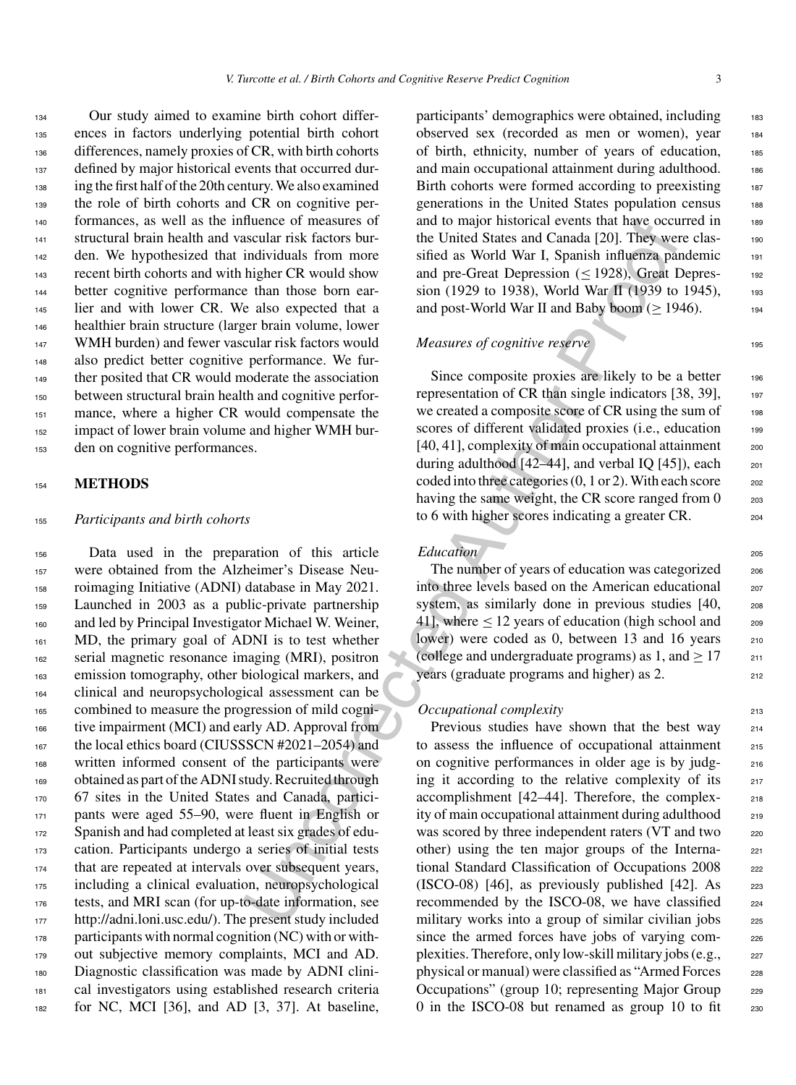Our study aimed to examine birth cohort differ- ences in factors underlying potential birth cohort differences, namely proxies of CR, with birth cohorts defined by major historical events that occurred dur- ing the first half of the 20th century. We also examined the role of birth cohorts and CR on cognitive per- formances, as well as the influence of measures of structural brain health and vascular risk factors bur- den. We hypothesized that individuals from more recent birth cohorts and with higher CR would show better cognitive performance than those born ear-145 lier and with lower CR. We also expected that a healthier brain structure (larger brain volume, lower WMH burden) and fewer vascular risk factors would also predict better cognitive performance. We fur- ther posited that CR would moderate the association between structural brain health and cognitive perfor-151 mance, where a higher CR would compensate the impact of lower brain volume and higher WMH bur-den on cognitive performances.

# <sup>154</sup> **METHODS**

#### <sup>155</sup> *Participants and birth cohorts*

 Data used in the preparation of this article were obtained from the Alzheimer's Disease Neu- roimaging Initiative (ADNI) database in May 2021. Launched in 2003 as a public-private partnership and led by Principal Investigator Michael W. Weiner, 161 MD, the primary goal of ADNI is to test whether serial magnetic resonance imaging (MRI), positron emission tomography, other biological markers, and clinical and neuropsychological assessment can be combined to measure the progression of mild cogni- tive impairment (MCI) and early AD. Approval from 167 the local ethics board (CIUSSSCN #2021–2054) and written informed consent of the participants were obtained as part of the ADNI study. Recruited through 67 sites in the United States and Canada, partici- pants were aged 55–90, were fluent in English or 172 Spanish and had completed at least six grades of edu- cation. Participants undergo a series of initial tests that are repeated at intervals over subsequent years, including a clinical evaluation, neuropsychological tests, and MRI scan (for up-to-date information, see <http://adni.loni.usc.edu/>). The present study included participants with normal cognition (NC) with or with- out subjective memory complaints, MCI and AD. Diagnostic classification was made by ADNI clini- cal investigators using established research criteria for NC, MCI [36], and AD [3, 37]. At baseline,

participants' demographics were obtained, including 183 observed sex (recorded as men or women), year <sup>184</sup> of birth, ethnicity, number of years of education, <sup>185</sup> and main occupational attainment during adulthood. 186 Birth cohorts were formed according to preexisting 187 generations in the United States population census 188 and to major historical events that have occurred in 189 the United States and Canada [20]. They were classified as World War I, Spanish influenza pandemic 191 and pre-Great Depression  $(\leq 1928)$ , Great Depres- 192 sion (1929 to 1938), World War II (1939 to 1945),  $193$ and post-World War II and Baby boom ( $\geq$  1946).

#### *Measures of cognitive reserve* 195

Since composite proxies are likely to be a better 196 representation of CR than single indicators  $[38, 39]$ , 197 we created a composite score of CR using the sum of 198 scores of different validated proxies (i.e., education 199  $[40, 41]$ , complexity of main occupational attainment  $200$ during adulthood  $[42-44]$ , and verbal IQ  $[45]$ , each  $201$ coded into three categories  $(0, 1 \text{ or } 2)$ . With each score  $202$ having the same weight, the CR score ranged from  $0 \qquad \qquad 203$ to 6 with higher scores indicating a greater CR.

# *Education* 205

The number of years of education was categorized 206 into three levels based on the American educational 207 system, as similarly done in previous studies [40, 208 41], where  $\leq 12$  years of education (high school and  $\qquad$  209 lower) were coded as 0, between 13 and 16 years 210 (college and undergraduate programs) as 1, and  $\geq 17$  211 years (graduate programs and higher) as 2. 212

#### *Occupational complexity* 213

Iluence of measures of math on any national eventuation<br>
stacelar risk factors bur-<br>
intellibratic and Cangled and Cangled and Cangled and residuent risk factors bur-<br>
intellibratic and We and pre-Great Depression ( $\leq$  Previous studies have shown that the best way 214 to assess the influence of occupational attainment 215 on cognitive performances in older age is by judg- <sup>216</sup> ing it according to the relative complexity of its  $217$ accomplishment [42–44]. Therefore, the complex- <sup>218</sup> ity of main occupational attainment during adulthood <sub>219</sub> was scored by three independent raters (VT and two 220 other) using the ten major groups of the Interna- <sup>221</sup> tional Standard Classification of Occupations 2008 222 (ISCO-08) [46], as previously published [42]. As  $223$ recommended by the ISCO-08, we have classified <sub>224</sub> military works into a group of similar civilian jobs 225 since the armed forces have jobs of varying complexities. Therefore, only low-skill military jobs (e.g.,  $_{227}$ physical or manual) were classified as "Armed Forces 228 Occupations" (group 10; representing Major Group 229 0 in the ISCO-08 but renamed as group 10 to fit  $230$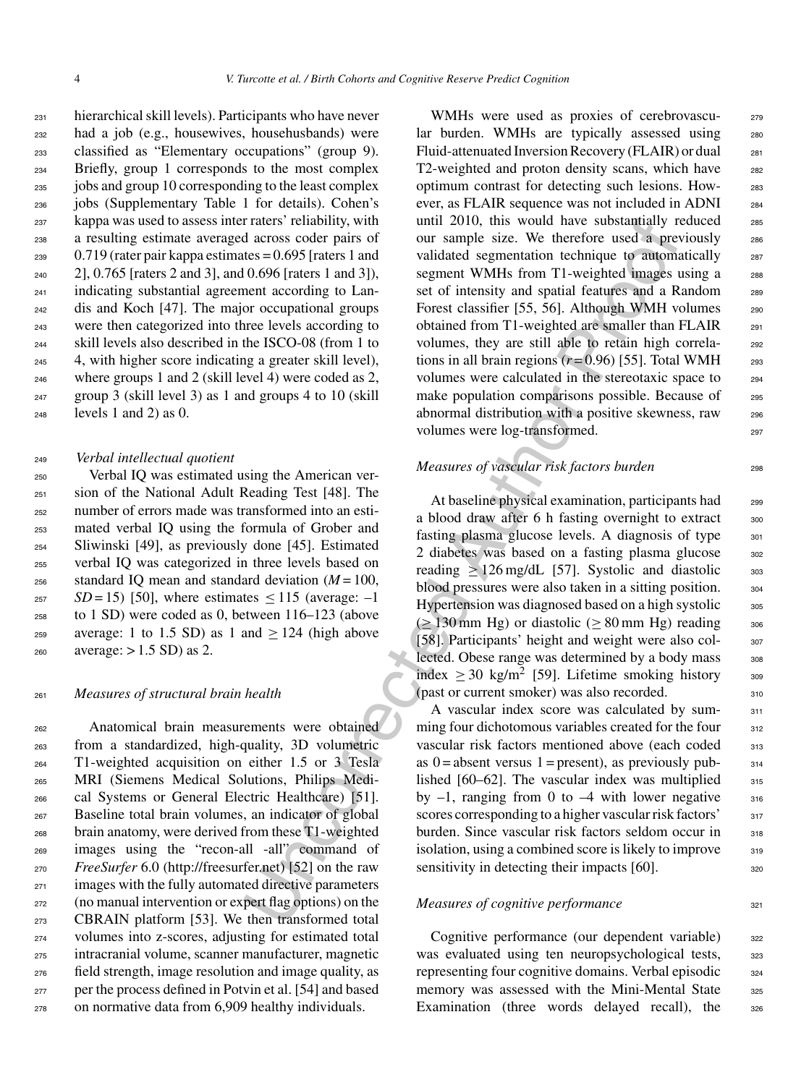hierarchical skill levels). Participants who have never had a job (e.g., housewives, househusbands) were classified as "Elementary occupations" (group 9). Briefly, group 1 corresponds to the most complex jobs and group 10 corresponding to the least complex jobs (Supplementary Table 1 for details). Cohen's kappa was used to assess inter raters' reliability, with a resulting estimate averaged across coder pairs of  $_{239}$  0.719 (rater pair kappa estimates = 0.695 [raters 1 and 2], 0.765 [raters 2 and 3], and 0.696 [raters 1 and 3]), indicating substantial agreement according to Lan- dis and Koch [47]. The major occupational groups were then categorized into three levels according to skill levels also described in the ISCO-08 (from 1 to 4, with higher score indicating a greater skill level), where groups 1 and 2 (skill level 4) were coded as 2, group 3 (skill level 3) as 1 and groups 4 to 10 (skill levels 1 and 2) as 0.

#### <sup>249</sup> *Verbal intellectual quotient*

 Verbal IQ was estimated using the American ver- sion of the National Adult Reading Test [48]. The number of errors made was transformed into an esti- mated verbal IQ using the formula of Grober and Sliwinski [49], as previously done [45]. Estimated verbal IQ was categorized in three levels based on  $_{256}$  standard IO mean and standard deviation  $(M = 100,$  *SD* = 15) [50], where estimates  $\leq$  115 (average: -1 to 1 SD) were coded as 0, between 116–123 (above 259 average: 1 to 1.5 SD) as 1 and  $> 124$  (high above average:  $> 1.5$  SD) as 2.

#### <sup>261</sup> *Measures of structural brain health*

 Anatomical brain measurements were obtained from a standardized, high-quality, 3D volumetric T1-weighted acquisition on either 1.5 or 3 Tesla MRI (Siemens Medical Solutions, Philips Medi- cal Systems or General Electric Healthcare) [51]. Baseline total brain volumes, an indicator of global brain anatomy, were derived from these T1-weighted images using the "recon-all -all" command of *FreeSurfer* 6.0 ([http://freesurfer.net\)](http://freesurfer.net) [52] on the raw 271 images with the fully automated directive parameters (no manual intervention or expert flag options) on the CBRAIN platform [53]. We then transformed total volumes into z-scores, adjusting for estimated total intracranial volume, scanner manufacturer, magnetic field strength, image resolution and image quality, as per the process defined in Potvin et al. [54] and based on normative data from 6,909 healthy individuals.

r rates is entablirly, with until 2010, this would have substantially reactions and across coder pairs of our sample size. We therefore used a pre-<br>
the cherefore used a pre-<br>
the cherefore used and proposition recharged WMHs were used as proxies of cerebrovascu-<br>
<sub>279</sub> lar burden. WMHs are typically assessed using 280 Fluid-attenuated Inversion Recovery (FLAIR) or dual <sup>281</sup> T2-weighted and proton density scans, which have 282 optimum contrast for detecting such lesions. How- <sup>283</sup> ever, as FLAIR sequence was not included in ADNI <sup>284</sup> until 2010, this would have substantially reduced 285 our sample size. We therefore used a previously <sup>286</sup> validated segmentation technique to automatically 287 segment WMHs from T1-weighted images using a 288 set of intensity and spatial features and a Random 289 Forest classifier [55, 56]. Although WMH volumes 290 obtained from T1-weighted are smaller than FLAIR <sup>291</sup> volumes, they are still able to retain high correla- 292 tions in all brain regions  $(r=0.96)$  [55]. Total WMH 293 volumes were calculated in the stereotaxic space to <sup>294</sup> make population comparisons possible. Because of 295 abnormal distribution with a positive skewness, raw <sup>296</sup> volumes were log-transformed.

## *Measures of vascular risk factors burden* 298

At baseline physical examination, participants had 299 a blood draw after 6 h fasting overnight to extract 300 fasting plasma glucose levels. A diagnosis of type 301 2 diabetes was based on a fasting plasma glucose 302 reading  $> 126 \text{ mg/dL}$  [57]. Systolic and diastolic  $\frac{303}{202}$ blood pressures were also taken in a sitting position. 304 Hypertension was diagnosed based on a high systolic 305  $(≥ 130$  mm Hg) or diastolic ( $≥ 80$  mm Hg) reading 306 [58]. Participants' height and weight were also col- 307 lected. Obese range was determined by a body mass  $308$ index  $\geq$  30 kg/m<sup>2</sup> [59]. Lifetime smoking history 309 (past or current smoker) was also recorded. <sup>310</sup>

A vascular index score was calculated by sum-<br>311 ming four dichotomous variables created for the four 312 vascular risk factors mentioned above (each coded 313 as  $0 =$  absent versus 1 = present), as previously pub- $314$ lished  $[60-62]$ . The vascular index was multiplied  $315$ by  $-1$ , ranging from 0 to  $-4$  with lower negative  $316$ scores corresponding to a higher vascular risk factors'  $317$ burden. Since vascular risk factors seldom occur in 318 isolation, using a combined score is likely to improve  $\frac{318}{210}$ sensitivity in detecting their impacts  $[60]$ .

## *Measures of cognitive performance* 321

Cognitive performance (our dependent variable) 322 was evaluated using ten neuropsychological tests,  $323$ representing four cognitive domains. Verbal episodic <sub>324</sub> memory was assessed with the Mini-Mental State 325 Examination (three words delayed recall), the 326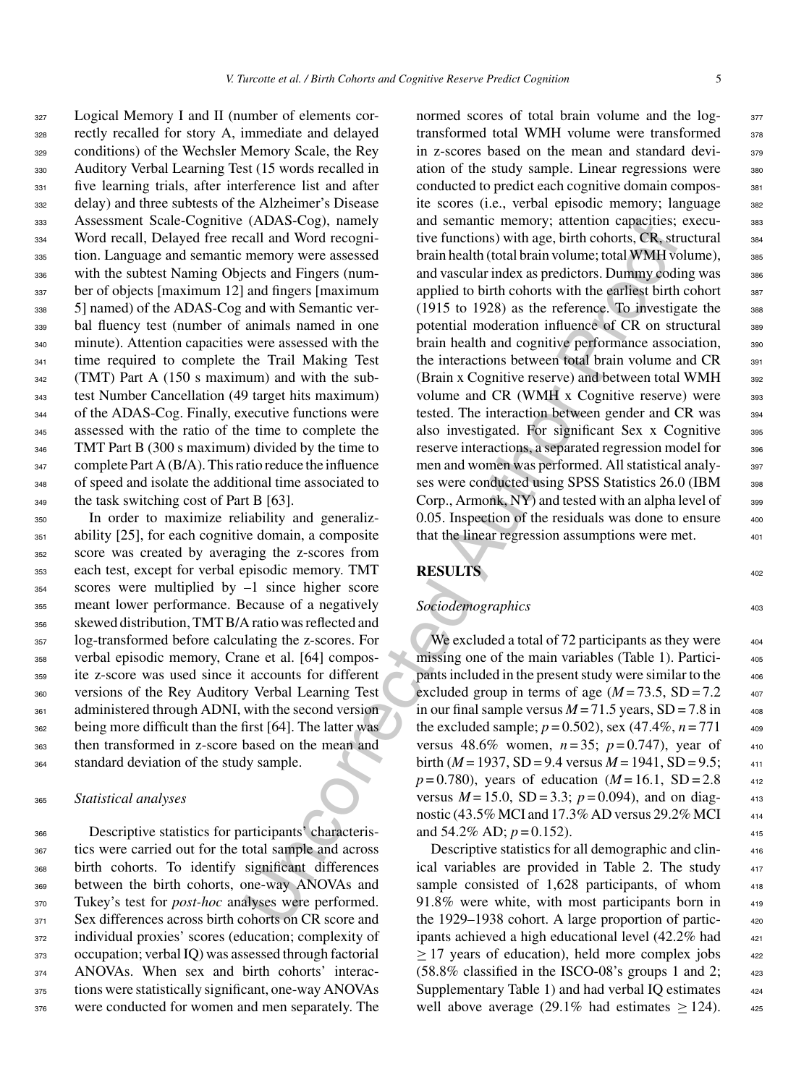Logical Memory I and II (number of elements cor- rectly recalled for story A, immediate and delayed conditions) of the Wechsler Memory Scale, the Rey Auditory Verbal Learning Test (15 words recalled in five learning trials, after interference list and after delay) and three subtests of the Alzheimer's Disease Assessment Scale-Cognitive (ADAS-Cog), namely Word recall, Delayed free recall and Word recogni- tion. Language and semantic memory were assessed with the subtest Naming Objects and Fingers (num- ber of objects [maximum 12] and fingers [maximum 5] named) of the ADAS-Cog and with Semantic ver- bal fluency test (number of animals named in one minute). Attention capacities were assessed with the <sup>341</sup> time required to complete the Trail Making Test (TMT) Part A (150 s maximum) and with the sub- test Number Cancellation (49 target hits maximum) of the ADAS-Cog. Finally, executive functions were assessed with the ratio of the time to complete the TMT Part B (300 s maximum) divided by the time to 347 complete Part A (B/A). This ratio reduce the influence of speed and isolate the additional time associated to <sup>349</sup> the task switching cost of Part B [63].

 In order to maximize reliability and generaliz-351 ability [25], for each cognitive domain, a composite score was created by averaging the z-scores from each test, except for verbal episodic memory. TMT scores were multiplied by –1 since higher score meant lower performance. Because of a negatively skewed distribution, TMT B/A ratio was reflected and log-transformed before calculating the z-scores. For verbal episodic memory, Crane et al. [64] compos- ite z-score was used since it accounts for different versions of the Rey Auditory Verbal Learning Test administered through ADNI, with the second version being more difficult than the first [64]. The latter was then transformed in z-score based on the mean and standard deviation of the study sample.

#### <sup>365</sup> *Statistical analyses*

 Descriptive statistics for participants' characteris- tics were carried out for the total sample and across birth cohorts. To identify significant differences between the birth cohorts, one-way ANOVAs and Tukey's test for *post-hoc* analyses were performed. 371 Sex differences across birth cohorts on CR score and individual proxies' scores (education; complexity of occupation; verbal IQ) was assessed through factorial ANOVAs. When sex and birth cohorts' interac- tions were statistically significant, one-way ANOVAs were conducted for women and men separately. The

(ADAS-Cog), namely and semantic emenoty, attention capacities;<br>
call and Word recogni-<br>
ive functions) with age, birth cohors, CR, ser<br>
nemory were assessed brain helath (total brain volume; total WWH vent<br>
erect and Fing normed scores of total brain volume and the log- 377 transformed total WMH volume were transformed 378 in z-scores based on the mean and standard devi-<br>379 ation of the study sample. Linear regressions were 380 conducted to predict each cognitive domain compos-<br>381 ite scores (i.e., verbal episodic memory; language 382 and semantic memory; attention capacities; execu-<br>383 tive functions) with age, birth cohorts, CR, structural  $384$ brain health (total brain volume; total WMH volume), 385 and vascular index as predictors. Dummy coding was 386 applied to birth cohorts with the earliest birth cohort 387 (1915 to 1928) as the reference. To investigate the  $388$ potential moderation influence of CR on structural 389 brain health and cognitive performance association, <sub>390</sub> the interactions between total brain volume and CR 391 (Brain x Cognitive reserve) and between total WMH 392 volume and CR (WMH  $x$  Cognitive reserve) were  $393$ tested. The interaction between gender and CR was 394 also investigated. For significant Sex x Cognitive 395 reserve interactions, a separated regression model for 396 men and women was performed. All statistical analy-<br>397 ses were conducted using SPSS Statistics 26.0 (IBM 398 Corp., Armonk,  $NY$ ) and tested with an alpha level of  $399$  $0.05$ . Inspection of the residuals was done to ensure  $400$ that the linear regression assumptions were met.  $401$ 

# **RESULTS** <sup>402</sup>

## **Sociodemographics** 403

We excluded a total of 72 participants as they were  $404$ missing one of the main variables (Table 1). Participants included in the present study were similar to the <sup>406</sup> excluded group in terms of age  $(M = 73.5, SD = 7.2$  407 in our final sample versus  $M = 71.5$  years,  $SD = 7.8$  in  $408$ the excluded sample;  $p = 0.502$ ), sex (47.4%,  $n = 771$  409 versus 48.6% women,  $n = 35$ ;  $p = 0.747$ ), year of  $410$ birth  $(M = 1937, SD = 9.4$  versus  $M = 1941, SD = 9.5;$  411  $p = 0.780$ , years of education  $(M = 16.1, SD = 2.8$  412 versus  $M = 15.0$ ,  $SD = 3.3$ ;  $p = 0.094$ ), and on diagnostic (43.5% MCI and 17.3% AD versus 29.2% MCI  $_{414}$ and  $54.2\%$  AD;  $p = 0.152$ ).

Descriptive statistics for all demographic and clinical variables are provided in Table 2. The study sample consisted of  $1,628$  participants, of whom  $91.8\%$  were white, with most participants born in the 1929–1938 cohort. A large proportion of participants achieved a high educational level (42.2% had  $> 17$  years of education), held more complex jobs  $(58.8\%$  classified in the ISCO-08's groups 1 and 2; Supplementary Table 1) and had verbal IQ estimates well above average (29.1% had estimates  $\geq$  124).  $\frac{425}{25}$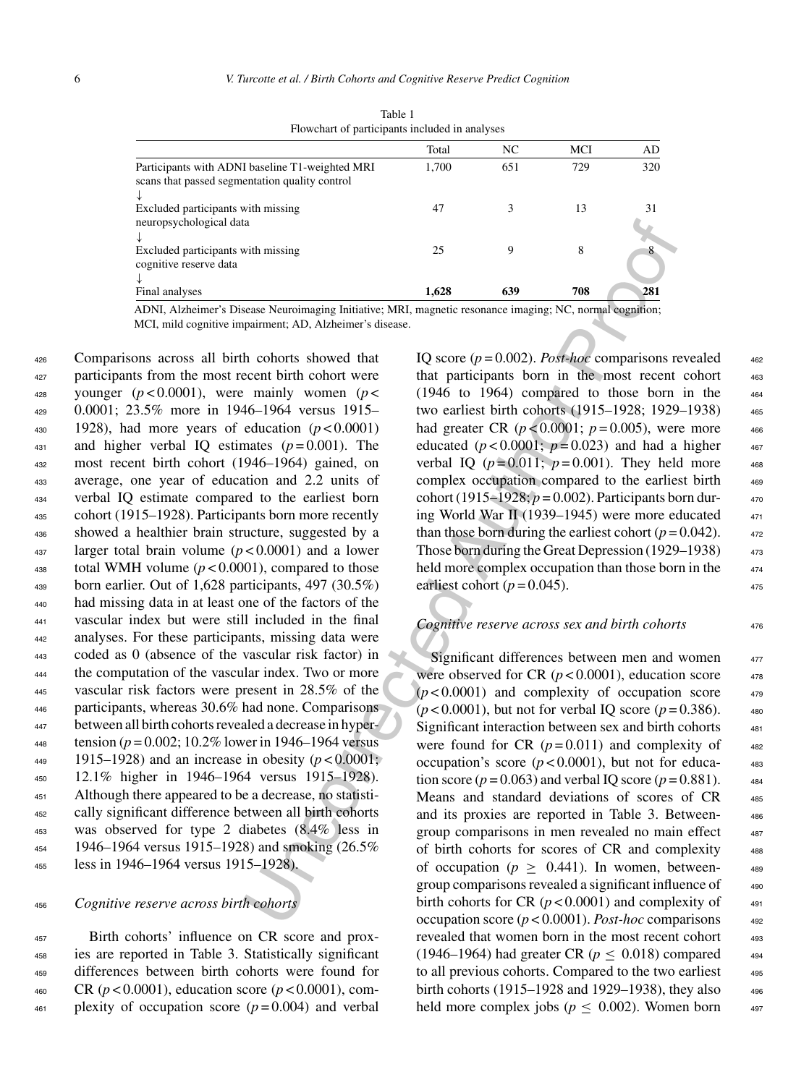|                                                                                                        | Total | NC  | MCI | AD  |
|--------------------------------------------------------------------------------------------------------|-------|-----|-----|-----|
| Participants with ADNI baseline T1-weighted MRI<br>scans that passed segmentation quality control<br>↓ | 1.700 | 651 | 729 | 320 |
| Excluded participants with missing<br>neuropsychological data                                          | 47    |     | 13  | 31  |
| ↓<br>Excluded participants with missing<br>cognitive reserve data                                      | 25    | 9   | 8   |     |
| Final analyses                                                                                         | 1,628 | 639 | 708 | 281 |

Table 1 Flowchart of participants included in analyses

ADNI, Alzheimer's Disease Neuroimaging Initiative; MRI, magnetic resonance imaging; NC, normal cognition; MCI, mild cognitive impairment; AD, Alzheimer's disease.

 Comparisons across all birth cohorts showed that participants from the most recent birth cohort were 428 younger  $(p<0.0001)$ , were mainly women  $(p<$  0.0001; 23.5% more in 1946–1964 versus 1915–  $_{430}$  1928), had more years of education ( $p < 0.0001$ ) 431 and higher verbal IQ estimates  $(p=0.001)$ . The most recent birth cohort (1946–1964) gained, on average, one year of education and 2.2 units of verbal IQ estimate compared to the earliest born cohort (1915–1928). Participants born more recently showed a healthier brain structure, suggested by a larger total brain volume (*p* < 0.0001) and a lower 438 total WMH volume  $(p < 0.0001)$ , compared to those born earlier. Out of 1,628 participants, 497 (30.5%) had missing data in at least one of the factors of the vascular index but were still included in the final analyses. For these participants, missing data were coded as 0 (absence of the vascular risk factor) in the computation of the vascular index. Two or more vascular risk factors were present in 28.5% of the participants, whereas 30.6% had none. Comparisons between all birth cohorts revealed a decrease in hypertension ( $p = 0.002$ ; 10.2% lower in 1946–1964 versus 449 1915–1928) and an increase in obesity  $(p < 0.0001)$ ; 12.1% higher in 1946–1964 versus 1915–1928). Although there appeared to be a decrease, no statisti- cally significant difference between all birth cohorts was observed for type 2 diabetes (8.4% less in 1946–1964 versus 1915–1928) and smoking (26.5% less in 1946–1964 versus 1915–1928).

<sup>456</sup> *Cognitive reserve across birth cohorts*

 Birth cohorts' influence on CR score and prox- ies are reported in Table 3. Statistically significant differences between birth cohorts were found for CR (*p* < 0.0001), education score (*p* < 0.0001), com-plexity of occupation score ( $p = 0.004$ ) and verbal

IQ score  $(p = 0.002)$ . *Post-hoc* comparisons revealed that participants born in the most recent cohort 463  $(1946 \text{ to } 1964)$  compared to those born in the two earliest birth cohorts (1915–1928; 1929–1938) <sup>465</sup> had greater CR  $(p < 0.0001; p = 0.005)$ , were more educated  $(p<0.0001; p=0.023)$  and had a higher verbal IQ ( $p = 0.011$ ;  $p = 0.001$ ). They held more complex occupation compared to the earliest birth 469 cohort (1915–1928;  $p = 0.002$ ). Participants born during World War II (1939–1945) were more educated than those born during the earliest cohort  $(p = 0.042)$ . Those born during the Great Depression (1929–1938) held more complex occupation than those born in the earliest cohort ( $p = 0.045$ ).

#### *Cognitive reserve across sex and birth cohorts* <sup>476</sup>

as<br> **Example 18** 1628 639 76<br>
Sease Neuroimaging Initiative: NIRI, magnetic resonance imaging: NC, normal cognition:<br>
From the control of the CHO (1966) to 1966) comparisons for the control of the control of the CHO (1966 Significant differences between men and women 477 were observed for CR  $(p<0.0001)$ , education score  $478$  $(p<0.0001)$  and complexity of occupation score  $479$  $(p < 0.0001)$ , but not for verbal IQ score  $(p = 0.386)$ . 480 Significant interaction between sex and birth cohorts  $481$ were found for CR  $(p=0.011)$  and complexity of  $482$ occupation's score  $(p<0.0001)$ , but not for education score ( $p = 0.063$ ) and verbal IQ score ( $p = 0.881$ ).  $484$ Means and standard deviations of scores of CR 485 and its proxies are reported in Table 3. Between- <sup>486</sup> group comparisons in men revealed no main effect 487 of birth cohorts for scores of CR and complexity <sup>488</sup> of occupation ( $p \geq 0.441$ ). In women, betweengroup comparisons revealed a significant influence of  $\qquad$ birth cohorts for CR  $(p<0.0001)$  and complexity of  $_{491}$ occupation score  $(p < 0.0001)$ . *Post-hoc* comparisons  $492$ revealed that women born in the most recent cohort 493 (1946–1964) had greater CR ( $p < 0.018$ ) compared  $_{494}$ to all previous cohorts. Compared to the two earliest  $495$ birth cohorts (1915–1928 and 1929–1938), they also <sup>496</sup> held more complex jobs ( $p \leq 0.002$ ). Women born  $497$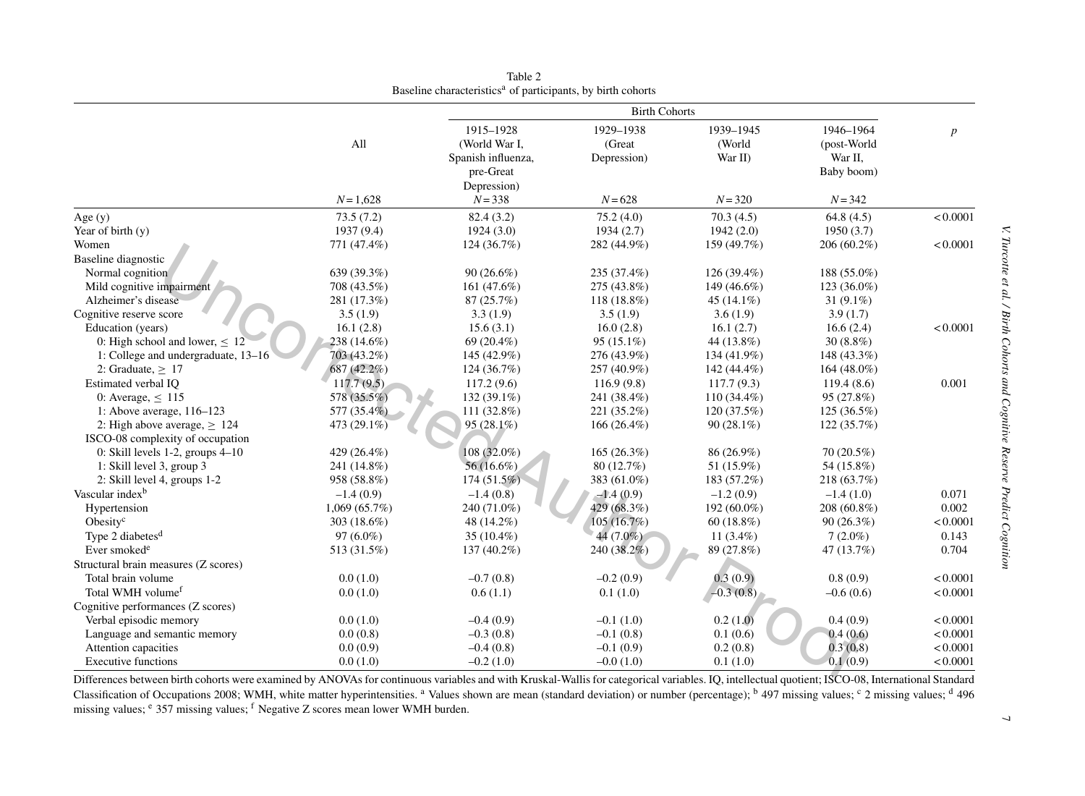|                                       |                                            | <b>Birth Cohorts</b>                             |                                                            |                                |                                     |                  |  |
|---------------------------------------|--------------------------------------------|--------------------------------------------------|------------------------------------------------------------|--------------------------------|-------------------------------------|------------------|--|
|                                       | All                                        | 1915-1928<br>(World War I,<br>Spanish influenza, | 1929-1938<br>(Great<br>Depression)                         | 1939-1945<br>(World<br>War II) | 1946-1964<br>(post-World<br>War II, | $\boldsymbol{p}$ |  |
|                                       | $N = 1,628$                                | pre-Great<br>Depression)<br>$N = 338$            | $N = 628$                                                  | $N = 320$                      | Baby boom)<br>$N = 342$             |                  |  |
| Age $(y)$                             | 73.5(7.2)                                  | 82.4 (3.2)                                       | 75.2(4.0)                                                  | 70.3(4.5)                      | 64.8 $(4.5)$                        | < 0.0001         |  |
| Year of birth $(y)$                   | 1937 (9.4)                                 | 1924(3.0)                                        | 1934(2.7)                                                  | 1942(2.0)                      | 1950(3.7)                           |                  |  |
| Women                                 | 771 (47.4%)                                | 124 (36.7%)                                      | 282 (44.9%)                                                | 159 (49.7%)                    | 206 (60.2%)                         | < 0.0001         |  |
| Baseline diagnostic                   |                                            |                                                  |                                                            |                                |                                     |                  |  |
| Normal cognition                      | 639 (39.3%)                                | $90(26.6\%)$                                     | 235 (37.4%)                                                | 126 (39.4%)                    | 188 (55.0%)                         |                  |  |
| Mild cognitive impairment             | 708 (43.5%)                                | 161 (47.6%)                                      | 275 (43.8%)                                                | 149 (46.6%)                    | $123(36.0\%)$                       |                  |  |
| Alzheimer's disease                   | 281 (17.3%)                                | 87 (25.7%)                                       | 118 (18.8%)                                                | 45 $(14.1\%)$                  | 31 $(9.1\%)$                        |                  |  |
| Cognitive reserve score               | 3.5(1.9)                                   | 3.3(1.9)                                         | 3.5(1.9)                                                   | 3.6(1.9)                       | 3.9(1.7)                            |                  |  |
| Education (years)                     | 16.1(2.8)                                  | 15.6(3.1)                                        | 16.0(2.8)                                                  | 16.1(2.7)                      | 16.6(2.4)                           | < 0.0001         |  |
| 0: High school and lower, $\leq 12$   | 238 (14.6%)                                | 69 (20.4%)                                       | $95(15.1\%)$                                               | 44 (13.8%)                     | $30(8.8\%)$                         |                  |  |
| 1: College and undergraduate, 13–16   | 703 (43.2%)                                | 145 (42.9%)                                      | 276 (43.9%)                                                | 134 (41.9%)                    | 148 (43.3%)                         |                  |  |
| 2: Graduate, $\geq$ 17                | 687 (42.2%)                                | 124 (36.7%)                                      | 257 (40.9%)                                                | 142 (44.4%)                    | $164(48.0\%)$                       |                  |  |
| Estimated verbal IQ                   | 117.7(9.5)                                 | 117.2(9.6)                                       | 116.9(9.8)                                                 | 117.7(9.3)                     | 119.4(8.6)                          | 0.001            |  |
| 0: Average, $\leq$ 115                | 578 (35.5%)                                | 132 (39.1%)                                      | 241 (38.4%)                                                | 110 (34.4%)                    | 95 (27.8%)                          |                  |  |
| 1: Above average, 116-123             | 577 (35.4%)                                | 111 (32.8%)                                      | 221 (35.2%)                                                | 120 (37.5%)                    | 125 (36.5%)                         |                  |  |
| 2: High above average, $\geq 124$     | 473 (29.1%)                                | $95(28.1\%)$                                     | $166(26.4\%)$                                              | $90(28.1\%)$                   | 122(35.7%)                          |                  |  |
| ISCO-08 complexity of occupation      |                                            |                                                  |                                                            |                                |                                     |                  |  |
| 0: Skill levels $1-2$ , groups $4-10$ | 429 (26.4%)                                | 108 (32.0%)                                      | 165(26.3%)                                                 | 86 (26.9%)                     | $70(20.5\%)$                        |                  |  |
| 1: Skill level 3, group 3             | 241 (14.8%)                                | 56 (16.6%)                                       | 80 (12.7%)                                                 | 51 (15.9%)                     | 54 (15.8%)                          |                  |  |
| 2: Skill level 4, groups 1-2          | 958 (58.8%)                                | 174 (51.5%)                                      | 383 (61.0%)                                                | 183 (57.2%)                    | 218 (63.7%)                         |                  |  |
| Vascular index <sup>b</sup>           | $-1.4(0.9)$                                | $-1.4(0.8)$                                      | $-1.4(0.9)$                                                | $-1.2(0.9)$                    | $-1.4(1.0)$                         | 0.071            |  |
| Hypertension                          | 1,069(65.7%)                               | 240 (71.0%)                                      | 429 (68.3%)                                                | 192 (60.0%)                    | 208 (60.8%)                         | 0.002            |  |
| Obesity <sup>c</sup>                  | 303 (18.6%)                                | 48 (14.2%)                                       | 105(16.7%)                                                 | $60(18.8\%)$                   | 90(26.3%)                           | < 0.0001         |  |
| Type 2 diabetes <sup>d</sup>          | $97(6.0\%)$                                | 35 (10.4%)                                       | 44 (7.0%)                                                  | 11 $(3.4\%)$                   | $7(2.0\%)$                          | 0.143            |  |
| Ever smoked <sup>e</sup>              | 513 (31.5%)                                | 137 (40.2%)                                      | 240 (38.2%)                                                | 89 (27.8%)                     | 47 (13.7%)                          | 0.704            |  |
| Structural brain measures (Z scores)  |                                            |                                                  |                                                            |                                |                                     |                  |  |
| Total brain volume                    | 0.0(1.0)                                   | $-0.7(0.8)$                                      | $-0.2(0.9)$                                                | 0.3(0.9)                       | 0.8(0.9)                            | < 0.0001         |  |
| Total WMH volume <sup>f</sup>         | 0.0(1.0)                                   | 0.6(1.1)                                         | 0.1(1.0)                                                   | $-0.3(0.8)$                    | $-0.6(0.6)$                         | < 0.0001         |  |
| Cognitive performances (Z scores)     |                                            |                                                  |                                                            |                                |                                     |                  |  |
| Verbal episodic memory                | 0.0(1.0)                                   | $-0.4(0.9)$                                      | $-0.1(1.0)$                                                | 0.2(1.0)                       | 0.4(0.9)                            | < 0.0001         |  |
| Language and semantic memory          | 0.0(0.8)                                   | $-0.3(0.8)$                                      | $-0.1(0.8)$                                                | 0.1(0.6)                       | 0.4(0.6)                            | < 0.0001         |  |
| Attention capacities                  | 0.0(0.9)                                   | $-0.4(0.8)$                                      | $-0.1(0.9)$                                                | 0.2(0.8)                       | 0.3(0.8)                            | < 0.0001         |  |
| <b>Executive functions</b>            | 0.0(1.0)                                   | $-0.2(1.0)$                                      | $-0.0(1.0)$                                                | 0.1(1.0)                       | 0.1(0.9)                            | < 0.0001         |  |
| Difformace haturaan hirth aabarta ur  | $\text{had by ANON}$ $\text{A}$ $\text{A}$ |                                                  | ideblas and with Vincleol Wallis for estagging lyonightee. | $I \cap$ intellectual          | $TCCO$ $OQ$ $Intom$                 | ational Ctondand |  |

Table 2Baseline characteristics<sup>a</sup> of participants, by birth cohorts

Differences between birth cohorts were examined by ANOVAs for continuous variables and with Kruskal-Wallis for categorical variables. IQ, intellectual quotient; ISCO-08, International Standard Classification of Occupations 2008; WMH, white matter hyperintensities. <sup>a</sup> Values shown are mean (standard deviation) or number (percentage); <sup>b</sup> 497 missing values; <sup>c</sup> 2 missing values; <sup>d</sup> 496 missing values; <sup>e</sup> 357 missing values; <sup>f</sup> Negative Z scores mean lower WMH burden.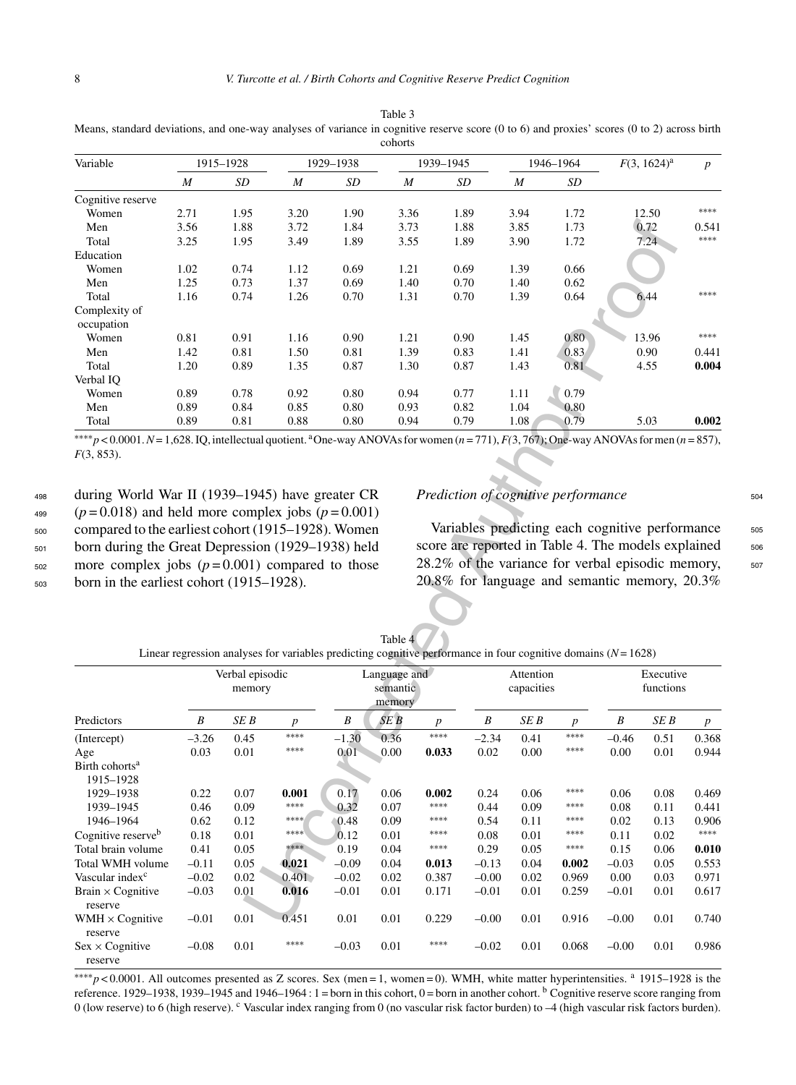| Variable                    |      | 1915-1928 |      | 1929-1938 |                  | 1939-1945 |                  | 1946-1964      | $F(3, 1624)^a$ | $\boldsymbol{p}$ |
|-----------------------------|------|-----------|------|-----------|------------------|-----------|------------------|----------------|----------------|------------------|
|                             | M    | SD        | M    | SD        | $\boldsymbol{M}$ | SD        | $\boldsymbol{M}$ | SD             |                |                  |
| Cognitive reserve           |      |           |      |           |                  |           |                  |                |                |                  |
| Women                       | 2.71 | 1.95      | 3.20 | 1.90      | 3.36             | 1.89      | 3.94             | 1.72           | 12.50          | ****             |
| Men                         | 3.56 | 1.88      | 3.72 | 1.84      | 3.73             | 1.88      | 3.85             | 1.73           | 0.72           | 0.541            |
| Total                       | 3.25 | 1.95      | 3.49 | 1.89      | 3.55             | 1.89      | 3.90             | 1.72           | 7.24           | ****             |
| Education                   |      |           |      |           |                  |           |                  |                |                |                  |
| Women                       | 1.02 | 0.74      | 1.12 | 0.69      | 1.21             | 0.69      | 1.39             | 0.66           |                |                  |
| Men                         | 1.25 | 0.73      | 1.37 | 0.69      | 1.40             | 0.70      | 1.40             | 0.62           |                |                  |
| Total                       | 1.16 | 0.74      | 1.26 | 0.70      | 1.31             | 0.70      | 1.39             | 0.64           | 6.44           | ****             |
| Complexity of<br>occupation |      |           |      |           |                  |           |                  |                |                |                  |
| Women                       | 0.81 | 0.91      | 1.16 | 0.90      | 1.21             | 0.90      | 1.45             | $0.80^{\circ}$ | 13.96          | ****             |
| Men                         | 1.42 | 0.81      | 1.50 | 0.81      | 1.39             | 0.83      | 1.41             | 0.83           | 0.90           | 0.441            |
| Total                       | 1.20 | 0.89      | 1.35 | 0.87      | 1.30             | 0.87      | 1.43             | 0.81           | 4.55           | 0.004            |
| Verbal IO                   |      |           |      |           |                  |           |                  |                |                |                  |
| Women                       | 0.89 | 0.78      | 0.92 | 0.80      | 0.94             | 0.77      | 1.11             | 0.79           |                |                  |
| Men                         | 0.89 | 0.84      | 0.85 | 0.80      | 0.93             | 0.82      | 1.04             | 0.80           |                |                  |
| Total                       | 0.89 | 0.81      | 0.88 | 0.80      | 0.94             | 0.79      | 1.08             | 0.79           | 5.03           | 0.002            |

Table 3 Means, standard deviations, and one-way analyses of variance in cognitive reserve score (0 to 6) and proxies' scores (0 to 2) across birth cohorts

 during World War II (1939–1945) have greater CR  $^{499}$  ( $p = 0.018$ ) and held more complex jobs ( $p = 0.001$ ) compared to the earliest cohort (1915–1928). Women born during the Great Depression (1929–1938) held more complex jobs  $(p=0.001)$  compared to those born in the earliest cohort (1915–1928).

# *Prediction of cognitive performance*  $504$

Variables predicting each cognitive performance 505 score are reported in Table 4. The models explained  $506$ 28.2% of the variance for verbal episodic memory, sor 20.8% for language and semantic memory, 20.3%

Table 4 Linear regression analyses for variables predicting cognitive performance in four cognitive domains (*N*= 1628)

| Men                                                                                                                                                                 | 3.56             | 1.88            | 3.72                                                                                                             | 1.84         | 3.73            |                  | 1.88                                                | 3.85         | 1.73             |         | 0.72      | 0.541<br>****    |
|---------------------------------------------------------------------------------------------------------------------------------------------------------------------|------------------|-----------------|------------------------------------------------------------------------------------------------------------------|--------------|-----------------|------------------|-----------------------------------------------------|--------------|------------------|---------|-----------|------------------|
| Total                                                                                                                                                               | 3.25             | 1.95            | 3.49                                                                                                             | 1.89         | 3.55            |                  | 1.89                                                | 3.90         | 1.72             |         | 7.24      |                  |
| Education                                                                                                                                                           |                  |                 |                                                                                                                  |              |                 |                  |                                                     |              |                  |         |           |                  |
| Women                                                                                                                                                               | 1.02             | 0.74<br>0.73    | 1.12                                                                                                             | 0.69         | 1.21            |                  | 0.69                                                | 1.39         | 0.66             |         |           |                  |
| Men<br>Total                                                                                                                                                        | 1.25<br>1.16     | 0.74            | 1.37<br>1.26                                                                                                     | 0.69<br>0.70 | 1.40<br>1.31    |                  | 0.70<br>0.70                                        | 1.40<br>1.39 | 0.62<br>0.64     |         | 6.44      | ****             |
| Complexity of                                                                                                                                                       |                  |                 |                                                                                                                  |              |                 |                  |                                                     |              |                  |         |           |                  |
| occupation                                                                                                                                                          |                  |                 |                                                                                                                  |              |                 |                  |                                                     |              |                  |         |           |                  |
| Women                                                                                                                                                               | 0.81             | 0.91            | 1.16                                                                                                             | 0.90         | 1.21            |                  | 0.90                                                | 1.45         | 0.80             |         | 13.96     | ****             |
| Men                                                                                                                                                                 | 1.42             | 0.81            | 1.50                                                                                                             | 0.81         | 1.39            |                  | 0.83                                                | 1.41         | 0.83             |         | 0.90      | 0.441            |
| Total                                                                                                                                                               | 1.20             | 0.89            | 1.35                                                                                                             | 0.87         | 1.30            |                  | 0.87                                                | 1.43         | 0.81             |         | 4.55      | 0.004            |
| Verbal IQ                                                                                                                                                           |                  |                 |                                                                                                                  |              |                 |                  |                                                     |              |                  |         |           |                  |
| Women                                                                                                                                                               | 0.89             | 0.78            | 0.92                                                                                                             | 0.80         | 0.94            |                  | 0.77                                                | 1.11         | 0.79             |         |           |                  |
| Men                                                                                                                                                                 | 0.89             | 0.84            | 0.85                                                                                                             | 0.80         | 0.93            |                  | 0.82                                                | 1.04         | 0.80             |         |           |                  |
| Total                                                                                                                                                               | 0.89             | 0.81            | 0.88                                                                                                             | 0.80         | 0.94            |                  | 0.79                                                | 1.08         | 0.79             |         | 5.03      | 0.002            |
| **** $p < 0.0001$ . $N = 1,628$ . IQ, intellectual quotient. <sup>a</sup> One-way ANOVAs for women $(n = 771)$ , $F(3, 767)$ ; One-way ANOVAs for men $(n = 857)$ , |                  |                 |                                                                                                                  |              |                 |                  |                                                     |              |                  |         |           |                  |
| $F(3, 853)$ .                                                                                                                                                       |                  |                 |                                                                                                                  |              |                 |                  |                                                     |              |                  |         |           |                  |
|                                                                                                                                                                     |                  |                 |                                                                                                                  |              |                 |                  |                                                     |              |                  |         |           |                  |
|                                                                                                                                                                     |                  |                 |                                                                                                                  |              |                 |                  |                                                     |              |                  |         |           |                  |
| during World War II (1939–1945) have greater CR                                                                                                                     |                  |                 |                                                                                                                  |              |                 |                  | Prediction of cognitive performance                 |              |                  |         |           |                  |
| $(p=0.018)$ and held more complex jobs $(p=0.001)$                                                                                                                  |                  |                 |                                                                                                                  |              |                 |                  |                                                     |              |                  |         |           |                  |
| compared to the earliest cohort (1915-1928). Women                                                                                                                  |                  |                 |                                                                                                                  |              |                 |                  | Variables predicting each cognitive performance     |              |                  |         |           |                  |
|                                                                                                                                                                     |                  |                 |                                                                                                                  |              |                 |                  |                                                     |              |                  |         |           |                  |
| born during the Great Depression (1929–1938) held                                                                                                                   |                  |                 |                                                                                                                  |              |                 |                  | score are reported in Table 4. The models explained |              |                  |         |           |                  |
| more complex jobs $(p=0.001)$ compared to those                                                                                                                     |                  |                 |                                                                                                                  |              |                 |                  | 28.2% of the variance for verbal episodic memory,   |              |                  |         |           |                  |
| born in the earliest cohort (1915–1928).                                                                                                                            |                  |                 |                                                                                                                  |              |                 |                  | 20.8% for language and semantic memory, 20.3%       |              |                  |         |           |                  |
|                                                                                                                                                                     |                  |                 |                                                                                                                  |              |                 |                  |                                                     |              |                  |         |           |                  |
|                                                                                                                                                                     |                  |                 |                                                                                                                  |              |                 |                  |                                                     |              |                  |         |           |                  |
|                                                                                                                                                                     |                  |                 |                                                                                                                  |              |                 |                  |                                                     |              |                  |         |           |                  |
|                                                                                                                                                                     |                  |                 |                                                                                                                  |              |                 |                  |                                                     |              |                  |         |           |                  |
|                                                                                                                                                                     |                  |                 |                                                                                                                  |              | Table 4         |                  |                                                     |              |                  |         |           |                  |
|                                                                                                                                                                     |                  |                 | Linear regression analyses for variables predicting cognitive performance in four cognitive domains $(N = 1628)$ |              |                 |                  |                                                     |              |                  |         |           |                  |
|                                                                                                                                                                     |                  | Verbal episodic |                                                                                                                  |              | Language and    |                  |                                                     | Attention    |                  |         | Executive |                  |
|                                                                                                                                                                     |                  | memory          |                                                                                                                  |              | semantic        |                  |                                                     | capacities   |                  |         | functions |                  |
|                                                                                                                                                                     |                  |                 |                                                                                                                  |              | memory          |                  |                                                     |              |                  |         |           |                  |
| Predictors                                                                                                                                                          | $\boldsymbol{B}$ | SE B            | $\boldsymbol{p}$                                                                                                 | $\cal B$     | SE <sub>B</sub> | $\boldsymbol{p}$ | B                                                   | SE B         | $\boldsymbol{p}$ | B       | SE B      | $\boldsymbol{p}$ |
|                                                                                                                                                                     | $-3.26$          | 0.45            | $****$                                                                                                           | $-1.30$      | 0.36            | ****             | $-2.34$                                             | 0.41         | ****             |         |           | 0.368            |
| (Intercept)                                                                                                                                                         |                  |                 | $****$                                                                                                           |              |                 |                  |                                                     |              | ****             | $-0.46$ | 0.51      |                  |
| Age                                                                                                                                                                 | 0.03             | 0.01            |                                                                                                                  | 0.01         | 0.00            | 0.033            | 0.02                                                | 0.00         |                  | 0.00    | 0.01      | 0.944            |
| Birth cohorts <sup>a</sup><br>1915-1928                                                                                                                             |                  |                 |                                                                                                                  |              |                 |                  |                                                     |              |                  |         |           |                  |
| 1929-1938                                                                                                                                                           | 0.22             | 0.07            | 0.001                                                                                                            | 0.17         | 0.06            | 0.002            | 0.24                                                | 0.06         | ****             | 0.06    | 0.08      | 0.469            |
| 1939-1945                                                                                                                                                           | 0.46             | 0.09            | $****$                                                                                                           | 0.32         | 0.07            | ****             | 0.44                                                | 0.09         | ****             | 0.08    | 0.11      | 0.441            |
| 1946-1964                                                                                                                                                           | 0.62             | 0.12            | ****                                                                                                             | 0.48         | 0.09            | ****             | 0.54                                                | 0.11         | ****             | 0.02    | 0.13      | 0.906            |
|                                                                                                                                                                     | 0.18             | 0.01            | ****                                                                                                             | 0.12         | 0.01            | ****             | 0.08                                                | 0.01         | ****             | 0.11    | 0.02      | ****             |
| Cognitive reserve <sup>b</sup><br>Total brain volume                                                                                                                | 0.41             | 0.05            | ****                                                                                                             | 0.19         | 0.04            | $****$           | 0.29                                                | 0.05         | $****$           | 0.15    | 0.06      | 0.010            |
| Total WMH volume                                                                                                                                                    | $-0.11$          | 0.05            | 0.021                                                                                                            | $-0.09$      | 0.04            | 0.013            | $-0.13$                                             | 0.04         | 0.002            | $-0.03$ | 0.05      | 0.553            |
| Vascular index <sup>c</sup>                                                                                                                                         | $-0.02$          | 0.02            | 0.401                                                                                                            | $-0.02$      | 0.02            | 0.387            | $-0.00$                                             | 0.02         | 0.969            | 0.00    | 0.03      | 0.971            |
| Brain $\times$ Cognitive                                                                                                                                            | $-0.03$          | 0.01            | 0.016                                                                                                            | $-0.01$      | 0.01            | 0.171            | $-0.01$                                             | 0.01         | 0.259            | $-0.01$ | 0.01      | 0.617            |
| reserve                                                                                                                                                             |                  |                 |                                                                                                                  |              |                 |                  |                                                     |              |                  |         |           |                  |
| WMH $\times$ Cognitive                                                                                                                                              | $-0.01$          | 0.01            | 0.451                                                                                                            | 0.01         | 0.01            | 0.229            | $-0.00$                                             | 0.01         | 0.916            | $-0.00$ | 0.01      | 0.740            |
| reserve                                                                                                                                                             |                  |                 |                                                                                                                  |              |                 |                  |                                                     |              |                  |         |           |                  |
| $Sex \times Cognitive$                                                                                                                                              | $-0.08$          | 0.01            | $****$                                                                                                           | $-0.03$      | 0.01            | ****             | $-0.02$                                             | 0.01         | 0.068            | $-0.00$ | 0.01      | 0.986            |

∗∗∗∗*p* < 0.0001. All outcomes presented as Z scores. Sex (men = 1, women = 0). WMH, white matter hyperintensities. <sup>a</sup> 1915–1928 is the reference. 1929–1938, 1939–1945 and 1946–1964:  $1 =$ born in this cohort,  $0 =$ born in another cohort.  $<sup>b</sup>$  Cognitive reserve score ranging from</sup> 0 (low reserve) to 6 (high reserve). C Vascular index ranging from 0 (no vascular risk factor burden) to -4 (high vascular risk factors burden).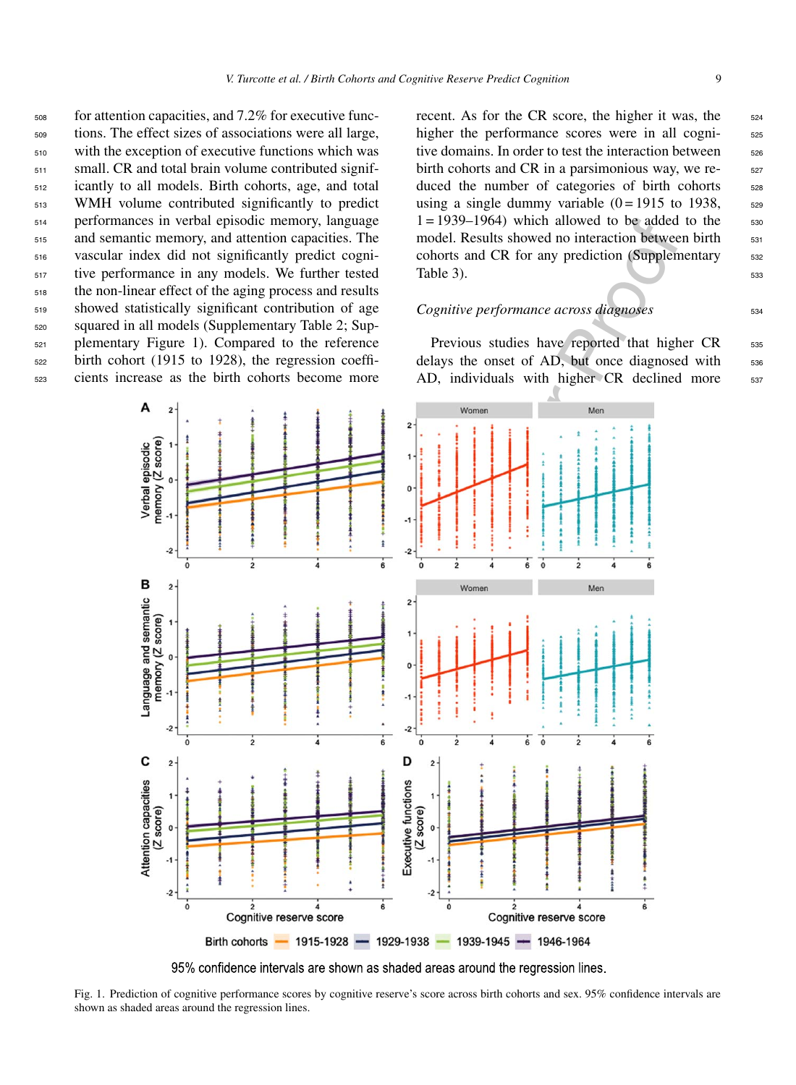for attention capacities, and 7.2% for executive func- tions. The effect sizes of associations were all large, with the exception of executive functions which was small. CR and total brain volume contributed signif- icantly to all models. Birth cohorts, age, and total WMH volume contributed significantly to predict performances in verbal episodic memory, language and semantic memory, and attention capacities. The vascular index did not significantly predict cogni- tive performance in any models. We further tested the non-linear effect of the aging process and results showed statistically significant contribution of age squared in all models (Supplementary Table 2; Sup-plementary Figure 1). Compared to the reference

<sup>522</sup> birth cohort (1915 to 1928), the regression coeffi-<sup>523</sup> cients increase as the birth cohorts become more

> Α  $\overline{\phantom{a}}$

memory (Z score) Verbal episodic  $\mathbf{o}$ 

> $-2$  $\dot{\mathbf{0}}$

B  $\overline{2}$  recent. As for the CR score, the higher it was, the  $524$ higher the performance scores were in all cognitive domains. In order to test the interaction between <sub>526</sub> birth cohorts and CR in a parsimonious way, we re- $_{527}$ duced the number of categories of birth cohorts 528 using a single dummy variable  $(0 = 1915$  to 1938,  $\frac{528}{20}$  $1 = 1939 - 1964$  which allowed to be added to the  $530$ model. Results showed no interaction between birth  $\frac{531}{2}$ cohorts and CR for any prediction (Supplementary 532 Table 3).  $533$ 

#### *Cognitive performance across diagnoses*  $534$

Previous studies have reported that higher CR 535 delays the onset of AD, but once diagnosed with 536 AD, individuals with higher CR declined more 537



95% confidence intervals are shown as shaded areas around the regression lines.

Fig. 1. Prediction of cognitive performance scores by cognitive reserve's score across birth cohorts and sex. 95% confidence intervals are shown as shaded areas around the regression lines.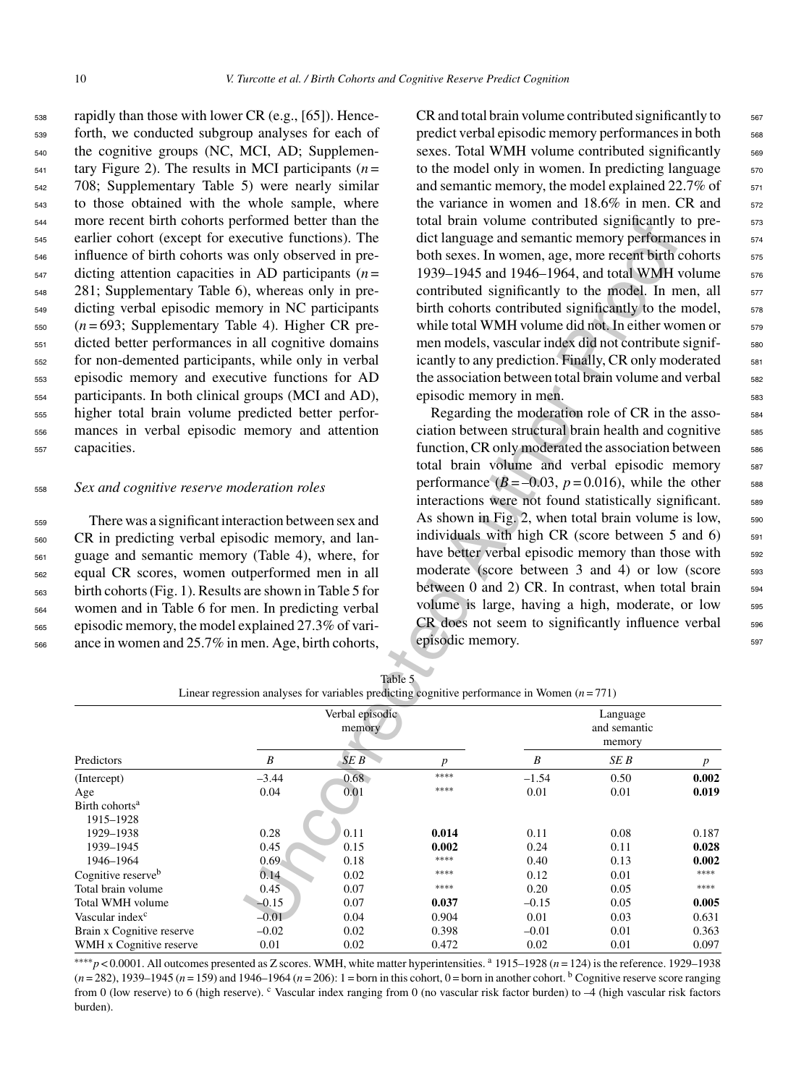rapidly than those with lower CR (e.g., [65]). Hence- forth, we conducted subgroup analyses for each of the cognitive groups (NC, MCI, AD; Supplemen- $_{541}$  tary Figure 2). The results in MCI participants ( $n =$  708; Supplementary Table 5) were nearly similar to those obtained with the whole sample, where more recent birth cohorts performed better than the earlier cohort (except for executive functions). The influence of birth cohorts was only observed in pre- dicting attention capacities in AD participants (*n* = 281; Supplementary Table 6), whereas only in pre- dicting verbal episodic memory in NC participants (*n* = 693; Supplementary Table 4). Higher CR pre- dicted better performances in all cognitive domains for non-demented participants, while only in verbal episodic memory and executive functions for AD participants. In both clinical groups (MCI and AD), higher total brain volume predicted better perfor- mances in verbal episodic memory and attention capacities.

#### <sup>558</sup> *Sex and cognitive reserve moderation roles*

 There was a significant interaction between sex and CR in predicting verbal episodic memory, and lan- guage and semantic memory (Table 4), where, for equal CR scores, women outperformed men in all birth cohorts (Fig. 1). Results are shown in Table 5 for women and in Table 6 for men. In predicting verbal episodic memory, the model explained 27.3% of vari-ance in women and 25.7% in men. Age, birth cohorts,

 $CR$  and total brain volume contributed significantly to  $567$ predict verbal episodic memory performances in both <sub>568</sub> sexes. Total WMH volume contributed significantly 569 to the model only in women. In predicting language  $570$ and semantic memory, the model explained  $22.7\%$  of  $571$ the variance in women and  $18.6\%$  in men. CR and  $572$ total brain volume contributed significantly to predict language and semantic memory performances in  $574$ both sexes. In women, age, more recent birth cohorts  $\frac{575}{2}$ 1939–1945 and 1946–1964, and total WMH volume 576 contributed significantly to the model. In men, all  $\frac{577}{200}$ birth cohorts contributed significantly to the model,  $\frac{578}{20}$ while total WMH volume did not. In either women or 579 men models, vascular index did not contribute signif-<br>ssc icantly to any prediction. Finally, CR only moderated  $\qquad$  581 the association between total brain volume and verbal <sub>582</sub> episodic memory in men.

Regarding the moderation role of CR in the asso-<br><sub>584</sub> ciation between structural brain health and cognitive 585 function, CR only moderated the association between <sub>586</sub> total brain volume and verbal episodic memory 587 performance  $(B=-0.03, p=0.016)$ , while the other  $\qquad$  588 interactions were not found statistically significant. 589 As shown in Fig. 2, when total brain volume is low,  $590$ individuals with high CR (score between  $5$  and  $6$ )  $\frac{591}{2}$ have better verbal episodic memory than those with 592 moderate (score between 3 and 4) or low (score 593 between  $0$  and  $2)$  CR. In contrast, when total brain  $594$ volume is large, having a high, moderate, or low 595 CR does not seem to significantly influence verbal 596 episodic memory.

| more recent birth cohorts performed better than the<br>earlier cohort (except for executive functions). The<br>influence of birth cohorts was only observed in pre-<br>dicting attention capacities in AD participants $(n =$<br>281; Supplementary Table 6), whereas only in pre-<br>dicting verbal episodic memory in NC participants<br>$(n=693;$ Supplementary Table 4). Higher CR pre-<br>dicted better performances in all cognitive domains<br>for non-demented participants, while only in verbal<br>episodic memory and executive functions for AD<br>participants. In both clinical groups (MCI and AD),<br>higher total brain volume predicted better perfor-<br>mances in verbal episodic memory and attention<br>capacities.<br>Sex and cognitive reserve moderation roles<br>There was a significant interaction between sex and<br>CR in predicting verbal episodic memory, and lan- |              |                 | episodic memory in men.                                                                                 | total brain volume contributed significantly to pre-<br>dict language and semantic memory performances in<br>both sexes. In women, age, more recent birth cohorts<br>1939-1945 and 1946-1964, and total WMH volume<br>contributed significantly to the model. In men, all<br>birth cohorts contributed significantly to the model,<br>while total WMH volume did not. In either women or<br>men models, vascular index did not contribute signif-<br>icantly to any prediction. Finally, CR only moderated<br>the association between total brain volume and verbal<br>Regarding the moderation role of CR in the asso-<br>ciation between structural brain health and cognitive<br>function, CR only moderated the association between<br>total brain volume and verbal episodic memory<br>performance ( $B = -0.03$ , $p = 0.016$ ), while the other<br>interactions were not found statistically significant.<br>As shown in Fig. 2, when total brain volume is low,<br>individuals with high CR (score between 5 and 6) |              |                |
|-----------------------------------------------------------------------------------------------------------------------------------------------------------------------------------------------------------------------------------------------------------------------------------------------------------------------------------------------------------------------------------------------------------------------------------------------------------------------------------------------------------------------------------------------------------------------------------------------------------------------------------------------------------------------------------------------------------------------------------------------------------------------------------------------------------------------------------------------------------------------------------------------------|--------------|-----------------|---------------------------------------------------------------------------------------------------------|-----------------------------------------------------------------------------------------------------------------------------------------------------------------------------------------------------------------------------------------------------------------------------------------------------------------------------------------------------------------------------------------------------------------------------------------------------------------------------------------------------------------------------------------------------------------------------------------------------------------------------------------------------------------------------------------------------------------------------------------------------------------------------------------------------------------------------------------------------------------------------------------------------------------------------------------------------------------------------------------------------------------------------|--------------|----------------|
| guage and semantic memory (Table 4), where, for                                                                                                                                                                                                                                                                                                                                                                                                                                                                                                                                                                                                                                                                                                                                                                                                                                                     |              |                 |                                                                                                         | have better verbal episodic memory than those with                                                                                                                                                                                                                                                                                                                                                                                                                                                                                                                                                                                                                                                                                                                                                                                                                                                                                                                                                                          |              |                |
| equal CR scores, women outperformed men in all                                                                                                                                                                                                                                                                                                                                                                                                                                                                                                                                                                                                                                                                                                                                                                                                                                                      |              |                 |                                                                                                         | moderate (score between 3 and 4) or low (score                                                                                                                                                                                                                                                                                                                                                                                                                                                                                                                                                                                                                                                                                                                                                                                                                                                                                                                                                                              |              |                |
| birth cohorts (Fig. 1). Results are shown in Table 5 for                                                                                                                                                                                                                                                                                                                                                                                                                                                                                                                                                                                                                                                                                                                                                                                                                                            |              |                 |                                                                                                         | between 0 and 2) CR. In contrast, when total brain                                                                                                                                                                                                                                                                                                                                                                                                                                                                                                                                                                                                                                                                                                                                                                                                                                                                                                                                                                          |              |                |
| women and in Table 6 for men. In predicting verbal                                                                                                                                                                                                                                                                                                                                                                                                                                                                                                                                                                                                                                                                                                                                                                                                                                                  |              |                 |                                                                                                         | volume is large, having a high, moderate, or low                                                                                                                                                                                                                                                                                                                                                                                                                                                                                                                                                                                                                                                                                                                                                                                                                                                                                                                                                                            |              |                |
| episodic memory, the model explained 27.3% of vari-                                                                                                                                                                                                                                                                                                                                                                                                                                                                                                                                                                                                                                                                                                                                                                                                                                                 |              |                 | episodic memory.                                                                                        | CR does not seem to significantly influence verbal                                                                                                                                                                                                                                                                                                                                                                                                                                                                                                                                                                                                                                                                                                                                                                                                                                                                                                                                                                          |              |                |
| ance in women and 25.7% in men. Age, birth cohorts,                                                                                                                                                                                                                                                                                                                                                                                                                                                                                                                                                                                                                                                                                                                                                                                                                                                 |              |                 |                                                                                                         |                                                                                                                                                                                                                                                                                                                                                                                                                                                                                                                                                                                                                                                                                                                                                                                                                                                                                                                                                                                                                             |              |                |
|                                                                                                                                                                                                                                                                                                                                                                                                                                                                                                                                                                                                                                                                                                                                                                                                                                                                                                     |              |                 |                                                                                                         |                                                                                                                                                                                                                                                                                                                                                                                                                                                                                                                                                                                                                                                                                                                                                                                                                                                                                                                                                                                                                             |              |                |
|                                                                                                                                                                                                                                                                                                                                                                                                                                                                                                                                                                                                                                                                                                                                                                                                                                                                                                     |              |                 | Table 5<br>Linear regression analyses for variables predicting cognitive performance in Women $(n=771)$ |                                                                                                                                                                                                                                                                                                                                                                                                                                                                                                                                                                                                                                                                                                                                                                                                                                                                                                                                                                                                                             |              |                |
|                                                                                                                                                                                                                                                                                                                                                                                                                                                                                                                                                                                                                                                                                                                                                                                                                                                                                                     |              | Verbal episodic |                                                                                                         |                                                                                                                                                                                                                                                                                                                                                                                                                                                                                                                                                                                                                                                                                                                                                                                                                                                                                                                                                                                                                             | Language     |                |
|                                                                                                                                                                                                                                                                                                                                                                                                                                                                                                                                                                                                                                                                                                                                                                                                                                                                                                     |              | memory          |                                                                                                         |                                                                                                                                                                                                                                                                                                                                                                                                                                                                                                                                                                                                                                                                                                                                                                                                                                                                                                                                                                                                                             | and semantic |                |
|                                                                                                                                                                                                                                                                                                                                                                                                                                                                                                                                                                                                                                                                                                                                                                                                                                                                                                     |              |                 |                                                                                                         |                                                                                                                                                                                                                                                                                                                                                                                                                                                                                                                                                                                                                                                                                                                                                                                                                                                                                                                                                                                                                             | memory       |                |
| Predictors                                                                                                                                                                                                                                                                                                                                                                                                                                                                                                                                                                                                                                                                                                                                                                                                                                                                                          | B            | SEB             | $\boldsymbol{p}$                                                                                        | B                                                                                                                                                                                                                                                                                                                                                                                                                                                                                                                                                                                                                                                                                                                                                                                                                                                                                                                                                                                                                           | SE B         | $p_{\perp}$    |
| (Intercept)                                                                                                                                                                                                                                                                                                                                                                                                                                                                                                                                                                                                                                                                                                                                                                                                                                                                                         | $-3.44$      | $0.68 -$        | ****                                                                                                    | $-1.54$                                                                                                                                                                                                                                                                                                                                                                                                                                                                                                                                                                                                                                                                                                                                                                                                                                                                                                                                                                                                                     | 0.50         | 0.002          |
| Age                                                                                                                                                                                                                                                                                                                                                                                                                                                                                                                                                                                                                                                                                                                                                                                                                                                                                                 | 0.04         | 0.01            | ****                                                                                                    | 0.01                                                                                                                                                                                                                                                                                                                                                                                                                                                                                                                                                                                                                                                                                                                                                                                                                                                                                                                                                                                                                        | 0.01         | 0.019          |
| Birth cohorts <sup>a</sup>                                                                                                                                                                                                                                                                                                                                                                                                                                                                                                                                                                                                                                                                                                                                                                                                                                                                          |              |                 |                                                                                                         |                                                                                                                                                                                                                                                                                                                                                                                                                                                                                                                                                                                                                                                                                                                                                                                                                                                                                                                                                                                                                             |              |                |
| 1915-1928                                                                                                                                                                                                                                                                                                                                                                                                                                                                                                                                                                                                                                                                                                                                                                                                                                                                                           |              |                 |                                                                                                         |                                                                                                                                                                                                                                                                                                                                                                                                                                                                                                                                                                                                                                                                                                                                                                                                                                                                                                                                                                                                                             |              |                |
| 1929-1938                                                                                                                                                                                                                                                                                                                                                                                                                                                                                                                                                                                                                                                                                                                                                                                                                                                                                           | 0.28         | 0.11            | 0.014                                                                                                   | 0.11                                                                                                                                                                                                                                                                                                                                                                                                                                                                                                                                                                                                                                                                                                                                                                                                                                                                                                                                                                                                                        | 0.08         | 0.187          |
| 1939-1945<br>1946-1964                                                                                                                                                                                                                                                                                                                                                                                                                                                                                                                                                                                                                                                                                                                                                                                                                                                                              | 0.45<br>0.69 | 0.15<br>0.18    | 0.002<br>****                                                                                           | 0.24<br>0.40                                                                                                                                                                                                                                                                                                                                                                                                                                                                                                                                                                                                                                                                                                                                                                                                                                                                                                                                                                                                                | 0.11<br>0.13 | 0.028<br>0.002 |
| Cognitive reserve <sup>b</sup>                                                                                                                                                                                                                                                                                                                                                                                                                                                                                                                                                                                                                                                                                                                                                                                                                                                                      | 0.14         | 0.02            | $****$                                                                                                  | 0.12                                                                                                                                                                                                                                                                                                                                                                                                                                                                                                                                                                                                                                                                                                                                                                                                                                                                                                                                                                                                                        | 0.01         | $****$         |
| Total brain volume                                                                                                                                                                                                                                                                                                                                                                                                                                                                                                                                                                                                                                                                                                                                                                                                                                                                                  | 0.45         | 0.07            | $****$                                                                                                  | 0.20                                                                                                                                                                                                                                                                                                                                                                                                                                                                                                                                                                                                                                                                                                                                                                                                                                                                                                                                                                                                                        | 0.05         | $****$         |
| Total WMH volume                                                                                                                                                                                                                                                                                                                                                                                                                                                                                                                                                                                                                                                                                                                                                                                                                                                                                    | $-0.15$      | 0.07            | 0.037                                                                                                   | $-0.15$                                                                                                                                                                                                                                                                                                                                                                                                                                                                                                                                                                                                                                                                                                                                                                                                                                                                                                                                                                                                                     | 0.05         | 0.005          |
| Vascular index <sup>c</sup>                                                                                                                                                                                                                                                                                                                                                                                                                                                                                                                                                                                                                                                                                                                                                                                                                                                                         | $-0.01$      | 0.04            | 0.904                                                                                                   | 0.01                                                                                                                                                                                                                                                                                                                                                                                                                                                                                                                                                                                                                                                                                                                                                                                                                                                                                                                                                                                                                        | 0.03         | 0.631          |
| Brain x Cognitive reserve                                                                                                                                                                                                                                                                                                                                                                                                                                                                                                                                                                                                                                                                                                                                                                                                                                                                           | $-0.02$      | 0.02            | 0.398                                                                                                   | $-0.01$                                                                                                                                                                                                                                                                                                                                                                                                                                                                                                                                                                                                                                                                                                                                                                                                                                                                                                                                                                                                                     | 0.01         | 0.363          |
| WMH x Cognitive reserve                                                                                                                                                                                                                                                                                                                                                                                                                                                                                                                                                                                                                                                                                                                                                                                                                                                                             | 0.01         | 0.02            | 0.472                                                                                                   | 0.02                                                                                                                                                                                                                                                                                                                                                                                                                                                                                                                                                                                                                                                                                                                                                                                                                                                                                                                                                                                                                        | 0.01         | 0.097          |
|                                                                                                                                                                                                                                                                                                                                                                                                                                                                                                                                                                                                                                                                                                                                                                                                                                                                                                     |              |                 |                                                                                                         |                                                                                                                                                                                                                                                                                                                                                                                                                                                                                                                                                                                                                                                                                                                                                                                                                                                                                                                                                                                                                             |              |                |

Table 5 Linear regression analyses for variables predicting cognitive performance in Women (*n* = 771)

∗∗∗∗*p* < 0.0001. All outcomes presented as Z scores. WMH, white matter hyperintensities. <sup>a</sup> 1915–1928 (*n* = 124) is the reference. 1929–1938 (*n* = 282), 1939–1945 (*n* = 159) and 1946–1964 (*n* = 206): 1 = born in this cohort, 0 = born in another cohort. <sup>b</sup> Cognitive reserve score ranging from 0 (low reserve) to 6 (high reserve).  $c$  Vascular index ranging from 0 (no vascular risk factor burden) to  $-4$  (high vascular risk factors burden).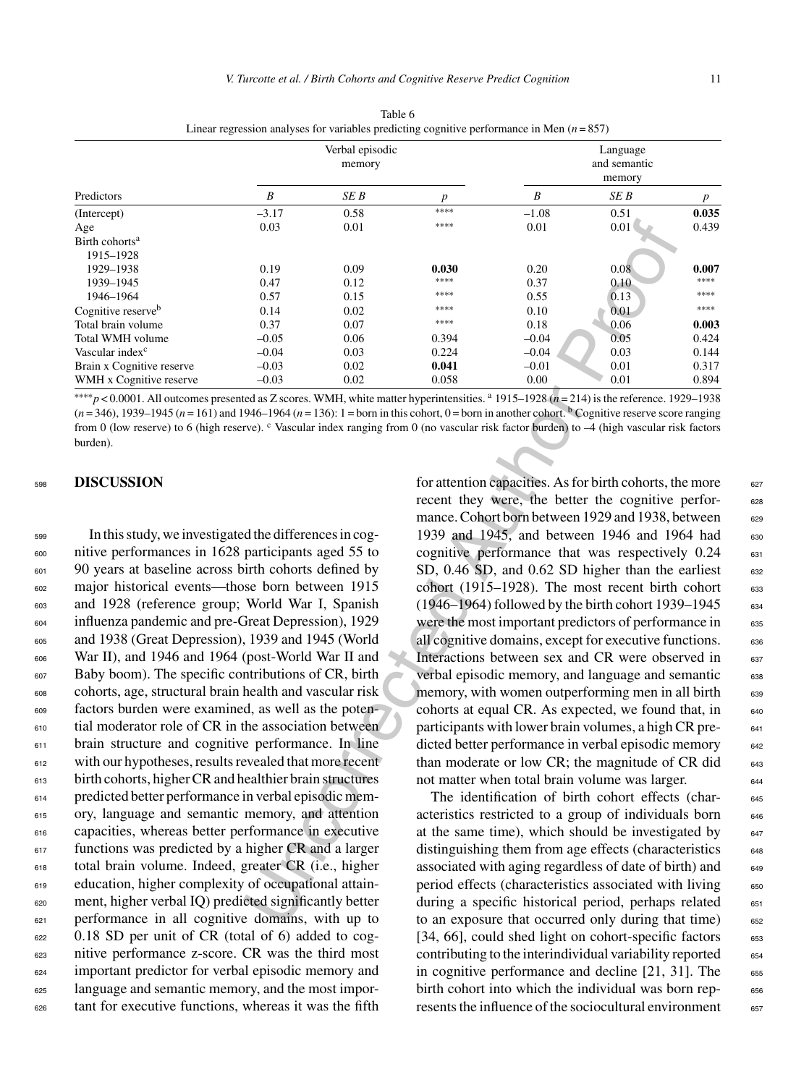|                                |         | Verbal episodic<br>memory |                  | Language<br>and semantic<br>memory |      |       |  |
|--------------------------------|---------|---------------------------|------------------|------------------------------------|------|-------|--|
| Predictors                     | B       | SE B                      | $\boldsymbol{p}$ | B                                  | SE B | p     |  |
| (Intercept)                    | $-3.17$ | 0.58                      | ****             | $-1.08$                            | 0.51 | 0.035 |  |
| Age                            | 0.03    | 0.01                      | ****             | 0.01                               | 0.01 | 0.439 |  |
| Birth cohorts <sup>a</sup>     |         |                           |                  |                                    |      |       |  |
| 1915-1928                      |         |                           |                  |                                    |      |       |  |
| 1929-1938                      | 0.19    | 0.09                      | 0.030            | 0.20                               | 0.08 | 0.007 |  |
| 1939-1945                      | 0.47    | 0.12                      | ****             | 0.37                               | 0.10 | ****  |  |
| 1946-1964                      | 0.57    | 0.15                      | ****             | 0.55                               | 0.13 | ****  |  |
| Cognitive reserve <sup>b</sup> | 0.14    | 0.02                      | ****             | 0.10                               | 0.01 | ****  |  |
| Total brain volume             | 0.37    | 0.07                      | ****             | 0.18                               | 0.06 | 0.003 |  |
| Total WMH volume               | $-0.05$ | 0.06                      | 0.394            | $-0.04$                            | 0.05 | 0.424 |  |
| Vascular index <sup>c</sup>    | $-0.04$ | 0.03                      | 0.224            | $-0.04$                            | 0.03 | 0.144 |  |
| Brain x Cognitive reserve      | $-0.03$ | 0.02                      | 0.041            | $-0.01$                            | 0.01 | 0.317 |  |
| WMH x Cognitive reserve        | $-0.03$ | 0.02                      | 0.058            | 0.00                               | 0.01 | 0.894 |  |

Table 6 Linear regression analyses for variables predicting cognitive performance in Men (*n* = 857)

∗∗∗∗*p* < 0.0001. All outcomes presented as Z scores. WMH, white matter hyperintensities. <sup>a</sup> 1915–1928 (*n* = 214) is the reference. 1929–1938  $(n=346)$ , 1939–1945  $(n=161)$  and 1946–1964  $(n=136)$ : 1 = born in this cohort, 0 = born in another cohort. **b** Cognitive reserve score ranging from 0 (low reserve) to 6 (high reserve). C Vascular index ranging from 0 (no vascular risk factor burden) to -4 (high vascular risk factors burden).

## <sup>598</sup> **DISCUSSION**

 In this study, we investigated the differences in cog- nitive performances in 1628 participants aged 55 to 90 years at baseline across birth cohorts defined by major historical events—those born between 1915 and 1928 (reference group; World War I, Spanish influenza pandemic and pre-Great Depression), 1929 and 1938 (Great Depression), 1939 and 1945 (World War II), and 1946 and 1964 (post-World War II and Baby boom). The specific contributions of CR, birth cohorts, age, structural brain health and vascular risk factors burden were examined, as well as the poten- tial moderator role of CR in the association between brain structure and cognitive performance. In line with our hypotheses, results revealed that more recent birth cohorts, higher CR and healthier brain structures predicted better performance in verbal episodic mem- ory, language and semantic memory, and attention capacities, whereas better performance in executive <sup>617</sup> functions was predicted by a higher CR and a larger total brain volume. Indeed, greater CR (i.e., higher education, higher complexity of occupational attain- ment, higher verbal IQ) predicted significantly better performance in all cognitive domains, with up to 0.18 SD per unit of CR (total of 6) added to cog- nitive performance z-score. CR was the third most important predictor for verbal episodic memory and language and semantic memory, and the most impor-tant for executive functions, whereas it was the fifth

Uncorrected Author Proof for attention capacities. As for birth cohorts, the more  $\qquad 627$ recent they were, the better the cognitive performance. Cohort born between 1929 and 1938, between 629 1939 and 1945, and between 1946 and 1964 had 630 cognitive performance that was respectively  $0.24$  631 SD,  $0.46$  SD, and  $0.62$  SD higher than the earliest 632 cohort (1915–1928). The most recent birth cohort  $633$  $(1946–1964)$  followed by the birth cohort 1939–1945  $634$ were the most important predictors of performance in 635 all cognitive domains, except for executive functions. 636 Interactions between sex and CR were observed in 637 verbal episodic memory, and language and semantic 638 memory, with women outperforming men in all birth 639 cohorts at equal CR. As expected, we found that, in  $640$ participants with lower brain volumes, a high CR predicted better performance in verbal episodic memory 642 than moderate or low CR; the magnitude of CR did $_{643}$ not matter when total brain volume was larger.

The identification of birth cohort effects (char- 645 acteristics restricted to a group of individuals born <sup>646</sup> at the same time), which should be investigated by  $647$ distinguishing them from age effects (characteristics 648 associated with aging regardless of date of birth) and 649 period effects (characteristics associated with living 650 during a specific historical period, perhaps related 651 to an exposure that occurred only during that time) 652 [34, 66], could shed light on cohort-specific factors 653 contributing to the interindividual variability reported  $654$ in cognitive performance and decline  $[21, 31]$ . The  $\qquad 655$ birth cohort into which the individual was born rep- 656 resents the influence of the sociocultural environment 657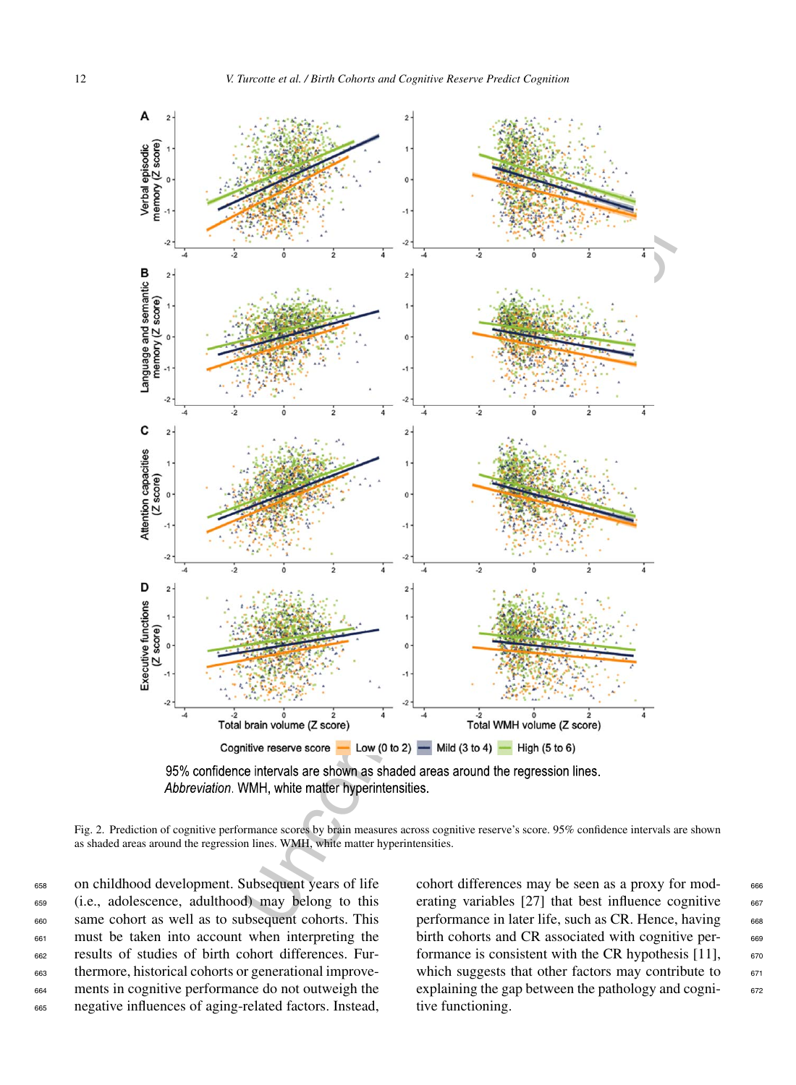



Fig. 2. Prediction of cognitive performance scores by brain measures across cognitive reserve's score. 95% confidence intervals are shown as shaded areas around the regression lines. WMH, white matter hyperintensities.

 on childhood development. Subsequent years of life (i.e., adolescence, adulthood) may belong to this same cohort as well as to subsequent cohorts. This must be taken into account when interpreting the results of studies of birth cohort differences. Fur- thermore, historical cohorts or generational improve- ments in cognitive performance do not outweigh the negative influences of aging-related factors. Instead, cohort differences may be seen as a proxy for mod- 666 erating variables  $[27]$  that best influence cognitive  $667$ performance in later life, such as CR. Hence, having 668 birth cohorts and CR associated with cognitive per- 669 formance is consistent with the CR hypothesis  $[11]$ ,  $670$ which suggests that other factors may contribute to  $671$ explaining the gap between the pathology and cogni- 672 tive functioning.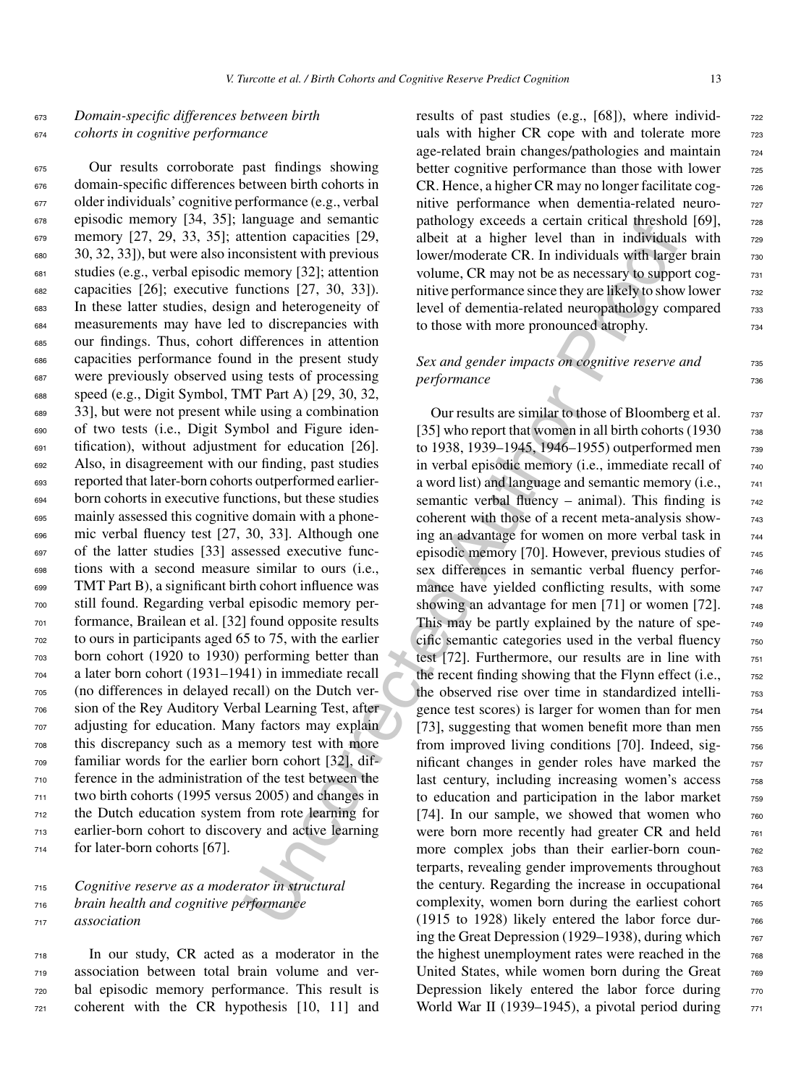# <sup>673</sup> *Domain-specific differences between birth* <sup>674</sup> *cohorts in cognitive performance*

 Our results corroborate past findings showing domain-specific differences between birth cohorts in older individuals' cognitive performance (e.g., verbal episodic memory [34, 35]; language and semantic memory [27, 29, 33, 35]; attention capacities [29, 30, 32, 33]), but were also inconsistent with previous studies (e.g., verbal episodic memory [32]; attention capacities [26]; executive functions [27, 30, 33]). In these latter studies, design and heterogeneity of measurements may have led to discrepancies with our findings. Thus, cohort differences in attention capacities performance found in the present study were previously observed using tests of processing speed (e.g., Digit Symbol, TMT Part A) [29, 30, 32, 33], but were not present while using a combination of two tests (i.e., Digit Symbol and Figure iden- tification), without adjustment for education [26]. Also, in disagreement with our finding, past studies reported that later-born cohorts outperformed earlier- born cohorts in executive functions, but these studies mainly assessed this cognitive domain with a phone- mic verbal fluency test [27, 30, 33]. Although one of the latter studies [33] assessed executive func- tions with a second measure similar to ours (i.e., TMT Part B), a significant birth cohort influence was still found. Regarding verbal episodic memory per- formance, Brailean et al. [32] found opposite results to ours in participants aged 65 to 75, with the earlier born cohort (1920 to 1930) performing better than a later born cohort (1931–1941) in immediate recall (no differences in delayed recall) on the Dutch ver- sion of the Rey Auditory Verbal Learning Test, after adjusting for education. Many factors may explain this discrepancy such as a memory test with more familiar words for the earlier born cohort [32], dif- ference in the administration of the test between the two birth cohorts (1995 versus 2005) and changes in the Dutch education system from rote learning for earlier-born cohort to discovery and active learning for later-born cohorts [67].

# <sup>715</sup> *Cognitive reserve as a moderator in structural* <sup>716</sup> *brain health and cognitive performance* <sup>717</sup> *association*

 In our study, CR acted as a moderator in the association between total brain volume and ver- bal episodic memory performance. This result is coherent with the CR hypothesis [10, 11] and results of past studies (e.g., [68]), where individuals with higher CR cope with and tolerate more 723 age-related brain changes/pathologies and maintain  $\frac{724}{124}$ better cognitive performance than those with lower  $\frac{725}{256}$  $CR.$  Hence, a higher  $CR$  may no longer facilitate cog- $\frac{726}{126}$ nitive performance when dementia-related neuropathology exceeds a certain critical threshold [69],  $\frac{728}{6}$ albeit at a higher level than in individuals with  $\frac{728}{2}$ lower/moderate CR. In individuals with larger brain  $\frac{730}{7}$ volume, CR may not be as necessary to support cog-<br> $^{731}$ nitive performance since they are likely to show lower  $\frac{732}{2}$ level of dementia-related neuropathology compared 733 to those with more pronounced atrophy.  $\frac{734}{2}$ 

# *Sex and gender impacts on cognitive reserve and*  $735$ *performance* 736

Imagua and semantic<br>
increase the reaction constricts [29, and<br>beit at a higher level than in individual investigation consistent with previous lowe/moderate CR. In individual self<br>
memory [32], attention volume, CR may n Our results are similar to those of Bloomberg et al.  $\frac{737}{2}$ [35] who report that women in all birth cohorts  $(1930 - 738)$ to 1938, 1939–1945, 1946–1955) outperformed men zss in verbal episodic memory (i.e., immediate recall of  $\frac{740}{740}$ a word list) and language and semantic memory (i.e.,  $\frac{741}{2}$ semantic verbal fluency – animal). This finding is  $_{742}$ coherent with those of a recent meta-analysis show- <sup>743</sup> ing an advantage for women on more verbal task in  $_{744}$ episodic memory [70]. However, previous studies of  $_{745}$ sex differences in semantic verbal fluency performance have yielded conflicting results, with some 747 showing an advantage for men  $[71]$  or women  $[72]$ .  $\frac{748}{9}$ This may be partly explained by the nature of spe-  $\frac{749}{2}$ cific semantic categories used in the verbal fluency  $\frac{750}{750}$ test [72]. Furthermore, our results are in line with  $751$ the recent finding showing that the Flynn effect (i.e.,  $\frac{752}{60}$ the observed rise over time in standardized intelli-<br>  $753$ gence test scores) is larger for women than for men  $\frac{754}{754}$ [73], suggesting that women benefit more than men  $755$ from improved living conditions [70]. Indeed, significant changes in gender roles have marked the  $\frac{757}{257}$ last century, including increasing women's access 758 to education and participation in the labor market  $\frac{759}{759}$ [74]. In our sample, we showed that women who  $760$ were born more recently had greater CR and held  $_{761}$ more complex jobs than their earlier-born counterparts, revealing gender improvements throughout  $\frac{763}{63}$ the century. Regarding the increase in occupational  $764$ complexity, women born during the earliest cohort  $\frac{765}{656}$ (1915 to 1928) likely entered the labor force dur- <sup>766</sup> ing the Great Depression (1929–1938), during which  $\frac{767}{767}$ the highest unemployment rates were reached in the  $\frac{768}{660}$ United States, while women born during the Great  $\frac{768}{769}$ Depression likely entered the labor force during  $770$ World War II (1939–1945), a pivotal period during  $\frac{7}{71}$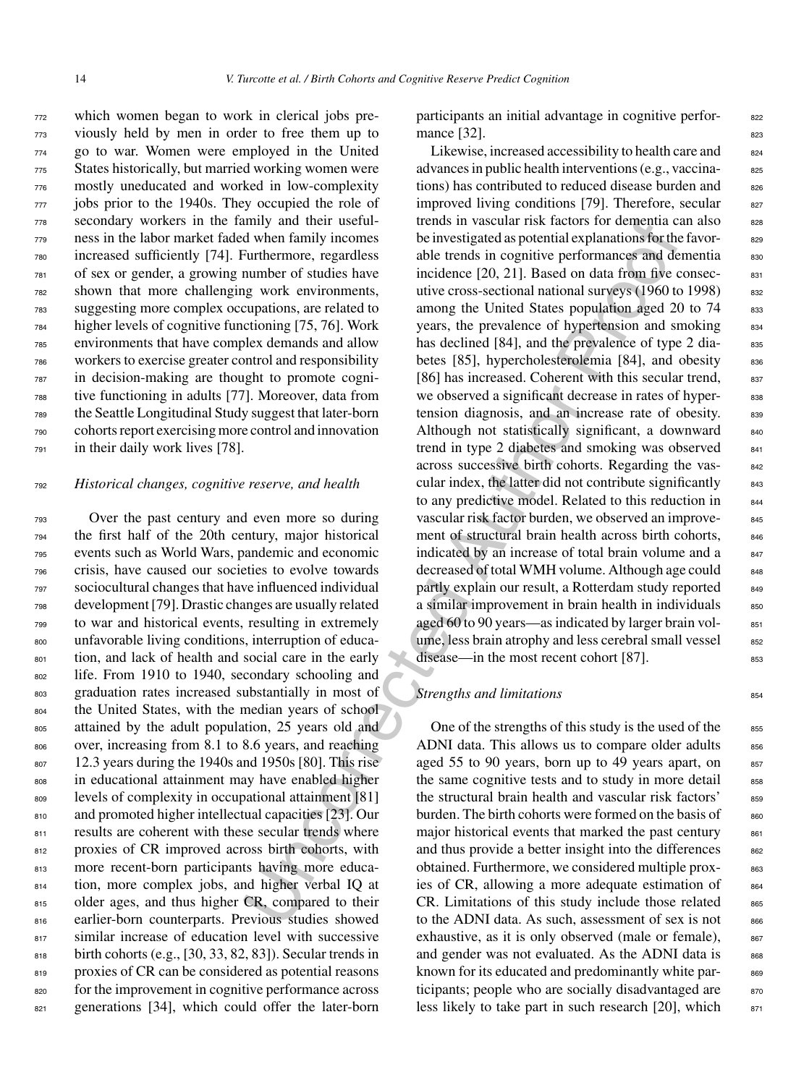which women began to work in clerical jobs pre- viously held by men in order to free them up to go to war. Women were employed in the United States historically, but married working women were mostly uneducated and worked in low-complexity jobs prior to the 1940s. They occupied the role of secondary workers in the family and their useful- ness in the labor market faded when family incomes increased sufficiently [74]. Furthermore, regardless of sex or gender, a growing number of studies have shown that more challenging work environments, suggesting more complex occupations, are related to higher levels of cognitive functioning [75, 76]. Work environments that have complex demands and allow workers to exercise greater control and responsibility in decision-making are thought to promote cogni- tive functioning in adults [77]. Moreover, data from the Seattle Longitudinal Study suggest that later-born cohorts report exercising more control and innovation in their daily work lives [78].

## <sup>792</sup> *Historical changes, cognitive reserve, and health*

 Over the past century and even more so during the first half of the 20th century, major historical events such as World Wars, pandemic and economic crisis, have caused our societies to evolve towards sociocultural changes that have influenced individual development [79]. Drastic changes are usually related to war and historical events, resulting in extremely unfavorable living conditions, interruption of educa- tion, and lack of health and social care in the early life. From 1910 to 1940, secondary schooling and graduation rates increased substantially in most of the United States, with the median years of school attained by the adult population, 25 years old and over, increasing from 8.1 to 8.6 years, and reaching 12.3 years during the 1940s and 1950s [80]. This rise in educational attainment may have enabled higher levels of complexity in occupational attainment [81] and promoted higher intellectual capacities [23]. Our 811 results are coherent with these secular trends where proxies of CR improved across birth cohorts, with more recent-born participants having more educa- tion, more complex jobs, and higher verbal IQ at 815 older ages, and thus higher CR, compared to their earlier-born counterparts. Previous studies showed 817 similar increase of education level with successive 818 birth cohorts (e.g., [30, 33, 82, 83]). Secular trends in 819 proxies of CR can be considered as potential reasons 820 for the improvement in cognitive performance across 821 generations [34], which could offer the later-born

participants an initial advantage in cognitive perfor-<br>s<sub>22</sub> mance  $[32]$ .

umuly and there useful treative track tases of notential<br>that the measure and when family incomes<br>
we hive terms in vascular axponential explanations for the<br>number of studies able rends in congitive performances and dete Likewise, increased accessibility to health care and 824 advances in public health interventions (e.g., vaccinations) has contributed to reduced disease burden and 826 improved living conditions  $[79]$ . Therefore, secular  $827$ trends in vascular risk factors for dementia can also 828 be investigated as potential explanations for the favorable trends in cognitive performances and dementia ssc incidence  $[20, 21]$ . Based on data from five consec-  $831$ utive cross-sectional national surveys  $(1960 \text{ to } 1998)$  832 among the United States population aged 20 to 74 ass years, the prevalence of hypertension and smoking  $834$ has declined [84], and the prevalence of type 2 diabetes  $[85]$ , hypercholesterolemia  $[84]$ , and obesity  $836$ [86] has increased. Coherent with this secular trend,  $837$ we observed a significant decrease in rates of hyper-<br>sample. tension diagnosis, and an increase rate of obesity. 839 Although not statistically significant, a downward  $_{840}$ trend in type 2 diabetes and smoking was observed  $841$ across successive birth cohorts. Regarding the vascular index, the latter did not contribute significantly  $_{843}$ to any predictive model. Related to this reduction in 844 vascular risk factor burden, we observed an improve-<br>845 ment of structural brain health across birth cohorts, 846 indicated by an increase of total brain volume and a  $_{847}$ decreased of total WMH volume. Although age could  $_{848}$ partly explain our result, a Rotterdam study reported asset a similar improvement in brain health in individuals 850 aged 60 to 90 years—as indicated by larger brain vol-<br>851 ume, less brain atrophy and less cerebral small vessel 852 disease—in the most recent cohort [87].

## **Strengths and limitations** 854

One of the strengths of this study is the used of the 855 ADNI data. This allows us to compare older adults 856 aged 55 to 90 years, born up to 49 years apart, on  $857$ the same cognitive tests and to study in more detail 858 the structural brain health and vascular risk factors' 859 burden. The birth cohorts were formed on the basis of 860 major historical events that marked the past century  $861$ and thus provide a better insight into the differences  $\frac{862}{862}$ obtained. Furthermore, we considered multiple proxies of CR, allowing a more adequate estimation of  $864$  $CR.$  Limitations of this study include those related  $865$ to the ADNI data. As such, assessment of sex is not 866 exhaustive, as it is only observed (male or female), 867 and gender was not evaluated. As the ADNI data is  $868$ known for its educated and predominantly white participants; people who are socially disadvantaged are  $870$ less likely to take part in such research  $[20]$ , which  $871$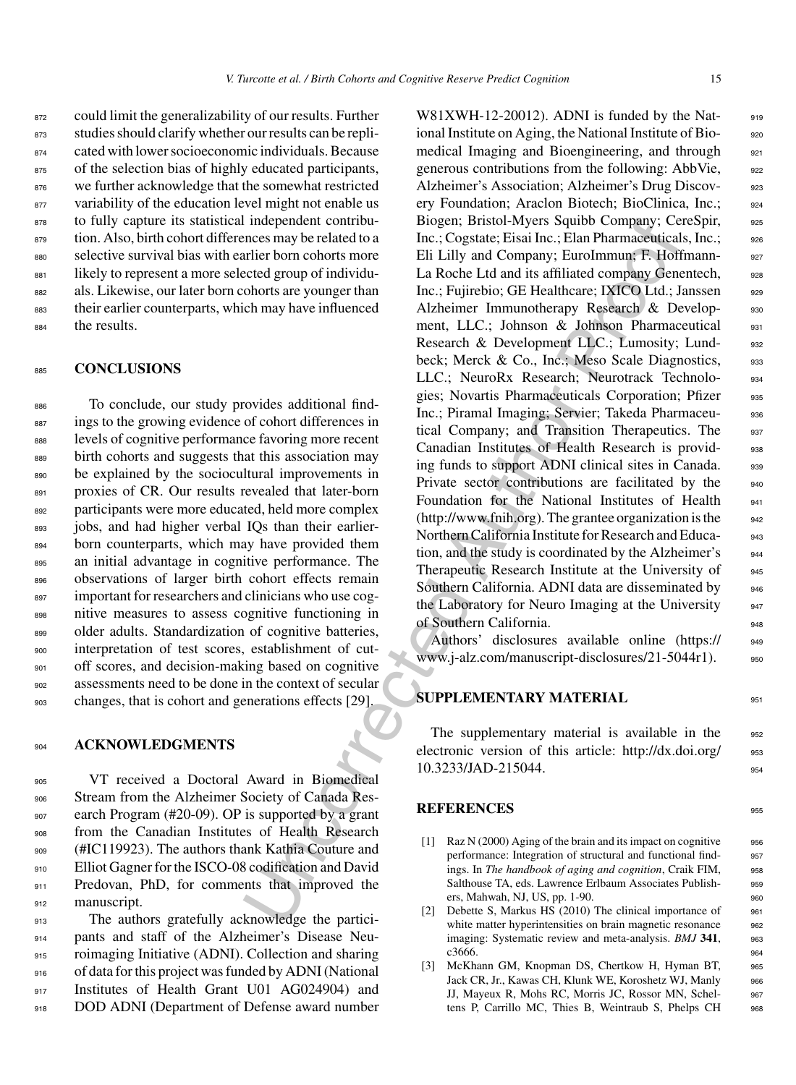872 could limit the generalizability of our results. Further <sup>873</sup> studies should clarify whether our results can be repli-<sup>874</sup> cated with lower socioeconomic individuals. Because 875 of the selection bias of highly educated participants, 876 we further acknowledge that the somewhat restricted 877 variability of the education level might not enable us 878 to fully capture its statistical independent contribu-879 tion. Also, birth cohort differences may be related to a <sup>880</sup> selective survival bias with earlier born cohorts more 881 likely to represent a more selected group of individu-<sup>882</sup> als. Likewise, our later born cohorts are younger than 883 their earlier counterparts, which may have influenced <sup>884</sup> the results.

# <sup>885</sup> **CONCLUSIONS**

 To conclude, our study provides additional find- ings to the growing evidence of cohort differences in levels of cognitive performance favoring more recent birth cohorts and suggests that this association may 890 be explained by the sociocultural improvements in 891 proxies of CR. Our results revealed that later-born participants were more educated, held more complex jobs, and had higher verbal IQs than their earlier-894 born counterparts, which may have provided them an initial advantage in cognitive performance. The 896 observations of larger birth cohort effects remain important for researchers and clinicians who use cog- nitive measures to assess cognitive functioning in 899 older adults. Standardization of cognitive batteries, interpretation of test scores, establishment of cut-901 off scores, and decision-making based on cognitive assessments need to be done in the context of secular changes, that is cohort and generations effects [29].

## <sup>904</sup> **ACKNOWLEDGMENTS**

 VT received a Doctoral Award in Biomedical 906 Stream from the Alzheimer Society of Canada Res- earch Program (#20-09). OP is supported by a grant from the Canadian Institutes of Health Research (#IC119923). The authors thank Kathia Couture and Elliot Gagner for the ISCO-08 codification and David 911 Predovan, PhD, for comments that improved the manuscript.

 The authors gratefully acknowledge the partici- pants and staff of the Alzheimer's Disease Neu- roimaging Initiative (ADNI). Collection and sharing of data for this project was funded by ADNI (National Institutes of Health Grant U01 AG024904) and DOD ADNI (Department of Defense award number

Independent control<br>
inc., Cogstate, Elisai Inc., Elisan Pharmacettica<br>
Inc., Cogstate, Elisai Inc., Elisan Pharmacettica<br>
Inc., Cogstate, Elisai Inc., Elisan Pharmacettica<br>
rection contors nove Eli Lilly and Company, Eur  $W81XWH-12-20012$ ). ADNI is funded by the Nat- $918$ ional Institute on Aging, the National Institute of Bio-<br>920 medical Imaging and Bioengineering, and through 921 generous contributions from the following: AbbVie, 922 Alzheimer's Association; Alzheimer's Drug Discov-<br>923 ery Foundation; Araclon Biotech; BioClinica, Inc.; 924 Biogen; Bristol-Myers Squibb Company; CereSpir, 925 Inc.; Cogstate; Eisai Inc.; Elan Pharmaceuticals, Inc.; 926 Eli Lilly and Company; EuroImmun; F. Hoffmann- 927 La Roche Ltd and its affiliated company Genentech, 928 Inc.; Fujirebio; GE Healthcare; IXICO Ltd.; Janssen 929 Alzheimer Immunotherapy Research & Develop-<br>930 ment, LLC.; Johnson & Johnson Pharmaceutical 931 Research & Development LLC.; Lumosity; Lund-<br>932 beck; Merck & Co., Inc.; Meso Scale Diagnostics, 933 LLC.: NeuroRx Research: Neurotrack Technolo-<br>934 gies; Novartis Pharmaceuticals Corporation; Pfizer 935 Inc.; Piramal Imaging; Servier; Takeda Pharmaceu-<br>936 tical Company; and Transition Therapeutics. The 937 Canadian Institutes of Health Research is provid-<br>938 ing funds to support ADNI clinical sites in Canada. 939 Private sector contributions are facilitated by the 940 Foundation for the National Institutes of Health 941  $(\text{http://www.fnih.org})$ . The grantee organization is the  $_{942}$ Northern California Institute for Research and Educa-<br>943 tion, and the study is coordinated by the Alzheimer's 944 Therapeutic Research Institute at the University of 945 Southern California. ADNI data are disseminated by 946 the Laboratory for Neuro Imaging at the University 947 of Southern California.

Authors' disclosures available online [\(https://](https://www.j-alz.com/manuscript-disclosures/21-5044r1) 949 www.j-alz.com/manuscript-disclosures/21-5044r1). 950

# **SUPPLEMENTARY MATERIAL** 951

The supplementary material is available in the 952 electronic version of this article: [http://dx.doi.org/](http://dx.doi.org/10.3233/JAD-215044) 953 10.3233/JAD-215044. 954

# **REFERENCES** <sup>955</sup>

- [1] Raz N (2000) Aging of the brain and its impact on cognitive 956 performance: Integration of structural and functional find-<br>957 ings. In *The handbook of aging and cognition*, Craik FIM, <sup>958</sup> Salthouse TA, eds. Lawrence Erlbaum Associates Publish-<br>959 ers, Mahwah, NJ, US, pp. 1-90. 960
- [2] Debette S, Markus HS (2010) The clinical importance of 961 white matter hyperintensities on brain magnetic resonance 962 imaging: Systematic review and meta-analysis. *BMJ* **341**, <sup>963</sup>  $c3666.$  964
- [3] McKhann GM, Knopman DS, Chertkow H, Hyman BT, 965 Jack CR, Jr., Kawas CH, Klunk WE, Koroshetz WJ, Manly 966 JJ, Mayeux R, Mohs RC, Morris JC, Rossor MN, Schel- <sup>967</sup> tens P, Carrillo MC, Thies B, Weintraub S, Phelps CH <sup>968</sup>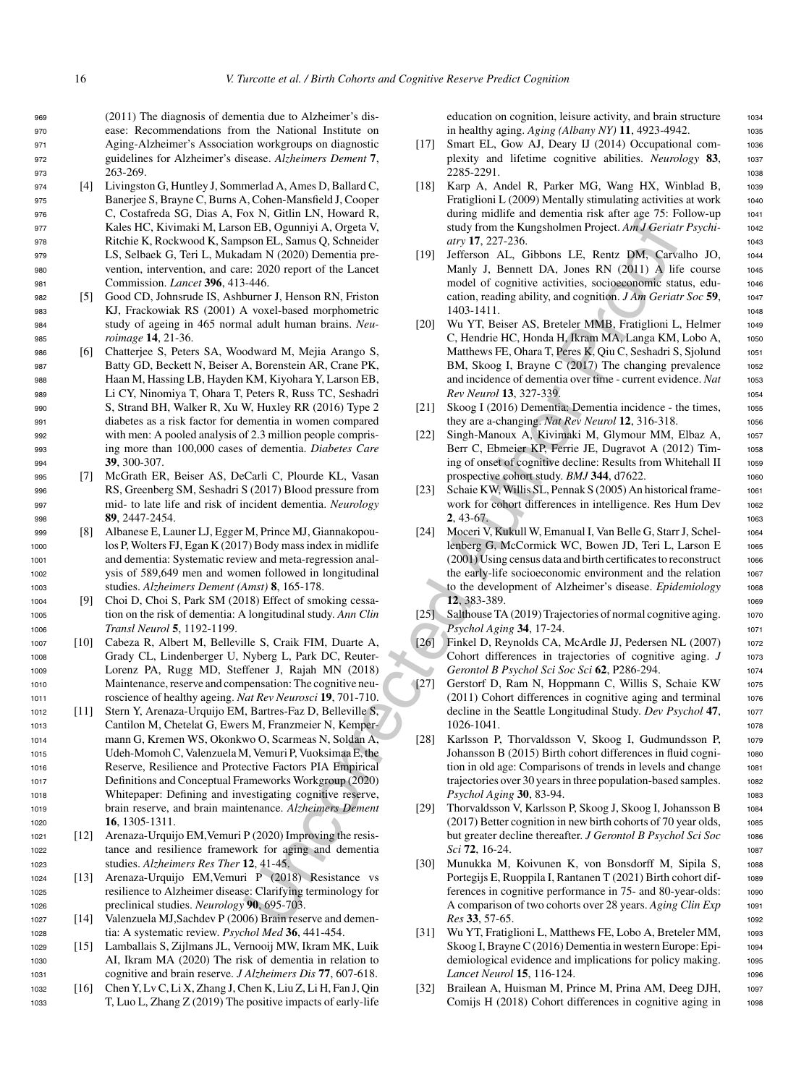(2011) The diagnosis of dementia due to Alzheimer's dis- ease: Recommendations from the National Institute on Aging-Alzheimer's Association workgroups on diagnostic guidelines for Alzheimer's disease. *Alzheimers Dement* **7**, <sup>973</sup> 263-269.

- <sup>974</sup> [4] Livingston G, Huntley J, Sommerlad A, Ames D, Ballard C, <sup>975</sup> Banerjee S, Brayne C, Burns A, Cohen-Mansfield J, Cooper <sup>976</sup> C, Costafreda SG, Dias A, Fox N, Gitlin LN, Howard R, <sup>977</sup> Kales HC, Kivimaki M, Larson EB, Ogunniyi A, Orgeta V, <sup>978</sup> Ritchie K, Rockwood K, Sampson EL, Samus Q, Schneider <sup>979</sup> LS, Selbaek G, Teri L, Mukadam N (2020) Dementia pre-<sup>980</sup> vention, intervention, and care: 2020 report of the Lancet <sup>981</sup> Commission. *Lancet* **396**, 413-446.
- <sup>982</sup> [5] Good CD, Johnsrude IS, Ashburner J, Henson RN, Friston <sup>983</sup> KJ, Frackowiak RS (2001) A voxel-based morphometric <sup>984</sup> study of ageing in 465 normal adult human brains. *Neu-*<sup>985</sup> *roimage* **14**, 21-36.
- <sup>986</sup> [6] Chatterjee S, Peters SA, Woodward M, Mejia Arango S, <sup>987</sup> Batty GD, Beckett N, Beiser A, Borenstein AR, Crane PK, <sup>988</sup> Haan M, Hassing LB, Hayden KM, Kiyohara Y, Larson EB, <sup>989</sup> Li CY, Ninomiya T, Ohara T, Peters R, Russ TC, Seshadri <sup>990</sup> S, Strand BH, Walker R, Xu W, Huxley RR (2016) Type 2 <sup>991</sup> diabetes as a risk factor for dementia in women compared <sup>992</sup> with men: A pooled analysis of 2.3 million people compris-<sup>993</sup> ing more than 100,000 cases of dementia. *Diabetes Care* <sup>994</sup> **39**, 300-307.
- <sup>995</sup> [7] McGrath ER, Beiser AS, DeCarli C, Plourde KL, Vasan <sup>996</sup> RS, Greenberg SM, Seshadri S (2017) Blood pressure from <sup>997</sup> mid- to late life and risk of incident dementia. *Neurology* <sup>998</sup> **89**, 2447-2454.
- <sup>999</sup> [8] Albanese E, Launer LJ, Egger M, Prince MJ, Giannakopou-<sup>1000</sup> los P, Wolters FJ, Egan K (2017) Body mass index in midlife <sup>1001</sup> and dementia: Systematic review and meta-regression anal-<sup>1002</sup> ysis of 589,649 men and women followed in longitudinal <sup>1003</sup> studies. *Alzheimers Dement (Amst)* **8**, 165-178.
- <sup>1004</sup> [9] Choi D, Choi S, Park SM (2018) Effect of smoking cessa-<sup>1005</sup> tion on the risk of dementia: A longitudinal study. *Ann Clin* <sup>1006</sup> *Transl Neurol* **5**, 1192-1199.
- <sup>1007</sup> [10] Cabeza R, Albert M, Belleville S, Craik FIM, Duarte A, <sup>1008</sup> Grady CL, Lindenberger U, Nyberg L, Park DC, Reuter-<sup>1009</sup> Lorenz PA, Rugg MD, Steffener J, Rajah MN (2018) <sup>1010</sup> Maintenance, reserve and compensation: The cognitive neu-<sup>1011</sup> roscience of healthy ageing. *Nat Rev Neurosci* **19**, 701-710.
- <sup>1012</sup> [11] Stern Y, Arenaza-Urquijo EM, Bartres-Faz D, Belleville S, <sup>1013</sup> Cantilon M, Chetelat G, Ewers M, Franzmeier N, Kemper-<sup>1014</sup> mann G, Kremen WS, Okonkwo O, Scarmeas N, Soldan A, <sup>1015</sup> Udeh-Momoh C, Valenzuela M, Vemuri P, Vuoksimaa E, the <sup>1016</sup> Reserve, Resilience and Protective Factors PIA Empirical <sup>1017</sup> Definitions and Conceptual Frameworks Workgroup (2020) <sup>1018</sup> Whitepaper: Defining and investigating cognitive reserve, <sup>1019</sup> brain reserve, and brain maintenance. *Alzheimers Dement* <sup>1020</sup> **16**, 1305-1311.
- <sup>1021</sup> [12] Arenaza-Urquijo EM,Vemuri P (2020) Improving the resis-<sup>1022</sup> tance and resilience framework for aging and dementia <sup>1023</sup> studies. *Alzheimers Res Ther* **12**, 41-45.
- <sup>1024</sup> [13] Arenaza-Urquijo EM,Vemuri P (2018) Resistance vs <sup>1025</sup> resilience to Alzheimer disease: Clarifying terminology for <sup>1026</sup> preclinical studies. *Neurology* **90**, 695-703.
- <sup>1027</sup> [14] Valenzuela MJ,Sachdev P (2006) Brain reserve and demen-<sup>1028</sup> tia: A systematic review. *Psychol Med* **36**, 441-454.
- <sup>1029</sup> [15] Lamballais S, Zijlmans JL, Vernooij MW, Ikram MK, Luik <sup>1030</sup> AI, Ikram MA (2020) The risk of dementia in relation to <sup>1031</sup> cognitive and brain reserve. *J Alzheimers Dis* **77**, 607-618.
- <sup>1032</sup> [16] Chen Y, Lv C, Li X, Zhang J, Chen K, Liu Z, Li H, Fan J, Qin <sup>1033</sup> T, Luo L, Zhang Z (2019) The positive impacts of early-life

education on cognition, leisure activity, and brain structure 1034 in healthy aging. *Aging (Albany NY)* **11**, 4923-4942. <sup>1035</sup>

- [17] Smart EL, Gow AJ, Deary IJ (2014) Occupational complexity and lifetime cognitive abilities. *Neurology* **83**, <sup>1037</sup> 2285-2291. <sup>1038</sup>
- [18] Karp A, Andel R, Parker MG, Wang HX, Winblad B, 1039 Fratiglioni L  $(2009)$  Mentally stimulating activities at work  $1040$ during midlife and dementia risk after age 75: Follow-up 1041 study from the Kungsholmen Project. *Am J Geriatr Psychi-* <sup>1042</sup> *atry* **17**, 227-236. 1043
- [19] Jefferson AL, Gibbons LE, Rentz DM, Carvalho JO, <sup>1044</sup> Manly J, Bennett DA, Jones RN (2011) A life course 1045 model of cognitive activities, socioeconomic status, edu- <sup>1046</sup> cation, reading ability, and cognition. *J Am Geriatr Soc* **59**, <sup>1047</sup> 1403-1411. <sup>1048</sup>
- In Elio Openinyi A. Organ V, The and the method in the Rougable and the Normiyi A. Organ V, A. Organ V, A. Organ V, A. Organ V, A. Organ V, A. Organ V, A. Organ V, A. Organ V, A. Organ V, A. Organ V, A. Organ V, A. Organ [20] Wu YT, Beiser AS, Breteler MMB, Fratiglioni L, Helmer 1049 C, Hendrie HC, Honda H, Ikram MA, Langa KM, Lobo A, 1050 Matthews FE, Ohara T, Peres K, Qiu C, Seshadri S, Sjolund 1051 BM, Skoog I, Brayne C (2017) The changing prevalence 1052 and incidence of dementia over time - current evidence. Nat 1053 *Rev Neurol* **13**, 327-339. 1054
	- [21] Skoog I (2016) Dementia: Dementia incidence the times, <sup>1055</sup> they are a-changing. *Nat Rev Neurol* **12**, 316-318. <sup>1056</sup>
	- [22] Singh-Manoux A, Kivimaki M, Glymour MM, Elbaz A, <sup>1057</sup> Berr C, Ebmeier KP, Ferrie JE, Dugravot A (2012) Tim- <sup>1058</sup> ing of onset of cognitive decline: Results from Whitehall II 1059 prospective cohort study. *BMJ* 344, d7622. 1060
	- [23] Schaie KW, Willis SL, Pennak S (2005) An historical frame- 1061 work for cohort differences in intelligence. Res Hum Dev 1062 **2**, 43-67. 1063
	- [24] Moceri V, Kukull W, Emanual I, Van Belle G, Starr J, Schel- <sup>1064</sup> lenberg G, McCormick WC, Bowen JD, Teri L, Larson E 1065  $(2001)$  Using census data and birth certificates to reconstruct 1066 the early-life socioeconomic environment and the relation 1067 to the development of Alzheimer's disease. *Epidemiology* <sup>1068</sup> **12**, 383-389. 1069. 1069. 1069. 1069. 1069. 1069. 1069. 1069. 1069. 1069. 1069. 1069. 1069. 1069. 1069. 1069. 1069. 1069. 1069. 1069. 1069. 1069. 1069. 1069. 1069. 1069. 1069. 1069. 1069. 1069. 1069. 1069. 1069. 1069. 106
	- [25] Salthouse TA (2019) Trajectories of normal cognitive aging. 1070 *Psychol Aging* **34**, 17-24. <sup>1071</sup>
	- [26] Finkel D, Reynolds CA, McArdle JJ, Pedersen NL (2007) 1072 Cohort differences in trajectories of cognitive aging. *J* 1073 *Gerontol B Psychol Sci Soc Sci* **62**, P286-294. <sup>1074</sup>
	- [27] Gerstorf D, Ram N, Hoppmann C, Willis S, Schaie KW <sup>1075</sup>  $(2011)$  Cohort differences in cognitive aging and terminal  $1076$ decline in the Seattle Longitudinal Study. *Dev Psychol* **47**, <sup>1077</sup> 1026-1041. <sup>1078</sup>
	- [28] Karlsson P, Thorvaldsson V, Skoog I, Gudmundsson P, <sup>1079</sup> Johansson B (2015) Birth cohort differences in fluid cogni- <sup>1080</sup> tion in old age: Comparisons of trends in levels and change 1081 trajectories over 30 years in three population-based samples. 1082 *Psychol Aging* **30**, 83-94. <sup>1083</sup>
	- [29] Thorvaldsson V, Karlsson P, Skoog J, Skoog I, Johansson B 1084 (2017) Better cognition in new birth cohorts of 70 year olds, 1085 but greater decline thereafter. *J Gerontol B Psychol Sci Soc* <sup>1086</sup> *Sci* **72**, 16-24. <sup>1087</sup>
	- [30] Munukka M, Koivunen K, von Bonsdorff M, Sipila S, 1088 Portegijs E, Ruoppila I, Rantanen T (2021) Birth cohort dif- 1089 ferences in cognitive performance in 75- and 80-year-olds: 1090 A comparison of two cohorts over 28 years. *Aging Clin Exp* <sup>1091</sup> *Res* **33**, 57-65. <sup>1092</sup>
	- [31] Wu YT, Fratiglioni L, Matthews FE, Lobo A, Breteler MM, 1093 Skoog I, Brayne C (2016) Dementia in western Europe: Epi- <sup>1094</sup> demiological evidence and implications for policy making. 1095 *Lancet Neurol* **15**, 116-124. <sup>1096</sup>
	- [32] Brailean A, Huisman M, Prince M, Prina AM, Deeg DJH, 1097 Comijs H  $(2018)$  Cohort differences in cognitive aging in  $1098$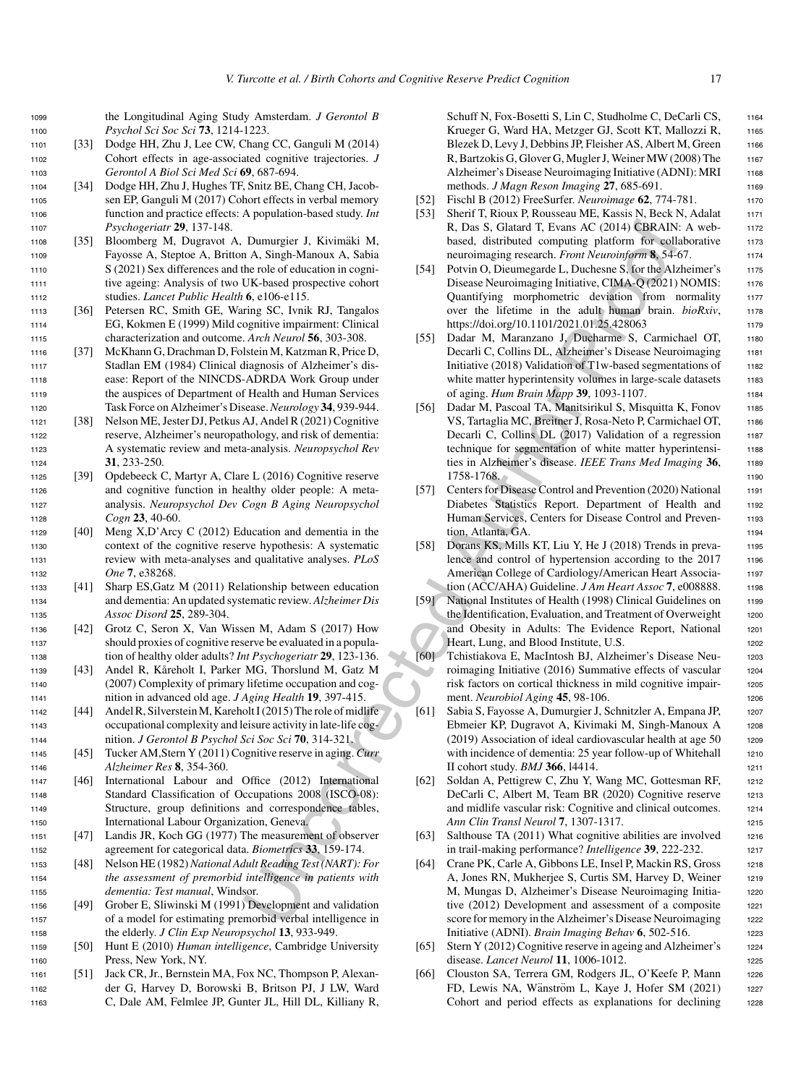<sup>1099</sup> the Longitudinal Aging Study Amsterdam. *J Gerontol B* <sup>1100</sup> *Psychol Sci Soc Sci* **73**, 1214-1223.

- <sup>1101</sup> [33] Dodge HH, Zhu J, Lee CW, Chang CC, Ganguli M (2014) <sup>1102</sup> Cohort effects in age-associated cognitive trajectories. *J* <sup>1103</sup> *Gerontol A Biol Sci Med Sci* **69**, 687-694.
- <sup>1104</sup> [34] Dodge HH, Zhu J, Hughes TF, Snitz BE, Chang CH, Jacob-<sup>1105</sup> sen EP, Ganguli M (2017) Cohort effects in verbal memory <sup>1106</sup> function and practice effects: A population-based study. *Int* <sup>1107</sup> *Psychogeriatr* **29**, 137-148.
- 1108 [35] Bloomberg M, Dugravot A, Dumurgier J, Kivimäki M, <sup>1109</sup> Fayosse A, Steptoe A, Britton A, Singh-Manoux A, Sabia <sup>1110</sup> S (2021) Sex differences and the role of education in cogni-<sup>1111</sup> tive ageing: Analysis of two UK-based prospective cohort <sup>1112</sup> studies. *Lancet Public Health* **6**, e106-e115.
- <sup>1113</sup> [36] Petersen RC, Smith GE, Waring SC, Ivnik RJ, Tangalos <sup>1114</sup> EG, Kokmen E (1999) Mild cognitive impairment: Clinical <sup>1115</sup> characterization and outcome. *Arch Neurol* **56**, 303-308.
- <sup>1116</sup> [37] McKhann G, Drachman D, Folstein M, Katzman R, Price D, <sup>1117</sup> Stadlan EM (1984) Clinical diagnosis of Alzheimer's dis-<sup>1118</sup> ease: Report of the NINCDS-ADRDA Work Group under <sup>1119</sup> the auspices of Department of Health and Human Services <sup>1120</sup> Task Force on Alzheimer's Disease.*Neurology* **34**, 939-944.
- <sup>1121</sup> [38] Nelson ME, Jester DJ, Petkus AJ, Andel R (2021) Cognitive <sup>1122</sup> reserve, Alzheimer's neuropathology, and risk of dementia: <sup>1123</sup> A systematic review and meta-analysis. *Neuropsychol Rev* <sup>1124</sup> **31**, 233-250.
- <sup>1125</sup> [39] Opdebeeck C, Martyr A, Clare L (2016) Cognitive reserve <sup>1126</sup> and cognitive function in healthy older people: A meta-<sup>1127</sup> analysis. *Neuropsychol Dev Cogn B Aging Neuropsychol* <sup>1128</sup> *Cogn* **23**, 40-60.
- <sup>1129</sup> [40] Meng X,D'Arcy C (2012) Education and dementia in the <sup>1130</sup> context of the cognitive reserve hypothesis: A systematic <sup>1131</sup> review with meta-analyses and qualitative analyses. *PLoS* <sup>1132</sup> *One* **7**, e38268.
- <sup>1133</sup> [41] Sharp ES,Gatz M (2011) Relationship between education <sup>1134</sup> and dementia: An updated systematic review. *Alzheimer Dis* <sup>1135</sup> *Assoc Disord* **25**, 289-304.
- <sup>1136</sup> [42] Grotz C, Seron X, Van Wissen M, Adam S (2017) How <sup>1137</sup> should proxies of cognitive reserve be evaluated in a popula-<sup>1138</sup> tion of healthy older adults? *Int Psychogeriatr* **29**, 123-136.
- 1139 [43] Andel R, Kåreholt I, Parker MG, Thorslund M, Gatz M <sup>1140</sup> (2007) Complexity of primary lifetime occupation and cog-<sup>1141</sup> nition in advanced old age. *J Aging Health* **19**, 397-415.
- <sup>1142</sup> [44] Andel R, Silverstein M, Kareholt I (2015) The role of midlife <sup>1143</sup> occupational complexity and leisure activity in late-life cog-<sup>1144</sup> nition. *J Gerontol B Psychol Sci Soc Sci* **70**, 314-321.
- <sup>1145</sup> [45] Tucker AM,Stern Y (2011) Cognitive reserve in aging. *Curr* <sup>1146</sup> *Alzheimer Res* **8**, 354-360.
- <sup>1147</sup> [46] International Labour and Office (2012) International <sup>1148</sup> Standard Classification of Occupations 2008 (ISCO-08): <sup>1149</sup> Structure, group definitions and correspondence tables, <sup>1150</sup> International Labour Organization, Geneva.
- <sup>1151</sup> [47] Landis JR, Koch GG (1977) The measurement of observer <sup>1152</sup> agreement for categorical data. *Biometrics* **33**, 159-174.
- <sup>1153</sup> [48] Nelson HE (1982)*National Adult Reading Test (NART): For* <sup>1154</sup> *the assessment of premorbid intelligence in patients with* <sup>1155</sup> *dementia: Test manual*, Windsor.
- <sup>1156</sup> [49] Grober E, Sliwinski M (1991) Development and validation <sup>1157</sup> of a model for estimating premorbid verbal intelligence in <sup>1158</sup> the elderly. *J Clin Exp Neuropsychol* **13**, 933-949.
- <sup>1159</sup> [50] Hunt E (2010) *Human intelligence*, Cambridge University <sup>1160</sup> Press, New York, NY.
- <sup>1161</sup> [51] Jack CR, Jr., Bernstein MA, Fox NC, Thompson P, Alexan-<sup>1162</sup> der G, Harvey D, Borowski B, Britson PJ, J LW, Ward <sup>1163</sup> C, Dale AM, Felmlee JP, Gunter JL, Hill DL, Killiany R,

Schuff N, Fox-Bosetti S, Lin C, Studholme C, DeCarli CS, 1164 Krueger G, Ward HA, Metzger GJ, Scott KT, Mallozzi R, 1165 Blezek D, Levy J, Debbins JP, Fleisher AS, Albert M, Green 1166 R, Bartzokis G, Glover G, Mugler J, Weiner MW (2008) The 1167 Alzheimer's Disease Neuroimaging Initiative (ADNI): MRI 1168 methods. *J Magn Reson Imaging* 27, 685-691. 1169

- [52] Fischl B (2012) FreeSurfer. *Neuroimage* **62**, 774-781. <sup>1170</sup>
- [53] Sherif T, Rioux P, Rousseau ME, Kassis N, Beck N, Adalat 1171 R, Das S, Glatard T, Evans AC (2014) CBRAIN: A web-<br>1172 based, distributed computing platform for collaborative 1173 neuroimaging research. *Front Neuroinform* 8, 54-67.
- [54] Potvin O, Dieumegarde L, Duchesne S, for the Alzheimer's 1175 Disease Neuroimaging Initiative, CIMA-Q (2021) NOMIS: 1176 Quantifying morphometric deviation from normality <sup>1177</sup> over the lifetime in the adult human brain. *bioRxiv*, 1178 https://doi.org/10.1101/2021.01.25.428063 1179
- [55] Dadar M, Maranzano J, Ducharme S, Carmichael OT, <sup>1180</sup> Decarli C, Collins DL, Alzheimer's Disease Neuroimaging 1181 Initiative (2018) Validation of  $T1w$ -based segmentations of 1182 white matter hyperintensity volumes in large-scale datasets 1183 of aging. *Hum Brain Mapp* **39**, 1093-1107. <sup>1184</sup>
- Dummgier J, Kivimäki M, R. Das S, Glutar Ti, Evans & Colutin Castern Control Castern Author And Author And Author And Author And Author And Author And Author And Author And Author And Author And Author And Author And Auth [56] Dadar M, Pascoal TA, Manitsirikul S, Misquitta K, Fonov 1185 VS, Tartaglia MC, Breitner J, Rosa-Neto P, Carmichael OT, 1186 Decarli C, Collins DL (2017) Validation of a regression 1187 technique for segmentation of white matter hyperintensi-<br>1188 ties in Alzheimer's disease. *IEEE Trans Med Imaging* 36, 1189 1758-1768. 1190
	- [57] Centers for Disease Control and Prevention (2020) National 1191 Diabetes Statistics Report. Department of Health and <sup>1192</sup> Human Services, Centers for Disease Control and Preven-<br>1193 tion, Atlanta, GA. 1194
	- [58] Dorans KS, Mills KT, Liu Y, He J (2018) Trends in preva-<br>1195 lence and control of hypertension according to the 2017 1196 American College of Cardiology/American Heart Associa-<br>1197 tion (ACC/AHA) Guideline. *J Am Heart Assoc* 7, e008888. 1198
	- [59] National Institutes of Health (1998) Clinical Guidelines on 1199 the Identification, Evaluation, and Treatment of Overweight 1200 and Obesity in Adults: The Evidence Report, National 1201 Heart, Lung, and Blood Institute, U.S. 1202
	- [60] Tchistiakova E, MacIntosh BJ, Alzheimer's Disease Neu- <sup>1203</sup> roimaging Initiative (2016) Summative effects of vascular 1204 risk factors on cortical thickness in mild cognitive impair- <sup>1205</sup> ment. *Neurobiol Aging* **45**, 98-106.
	- [61] Sabia S, Fayosse A, Dumurgier J, Schnitzler A, Empana JP, <sup>1207</sup> Ebmeier KP, Dugravot A, Kivimaki M, Singh-Manoux A <sup>1208</sup>  $(2019)$  Association of ideal cardiovascular health at age  $50$  1209 with incidence of dementia: 25 year follow-up of Whitehall 1210 II cohort study. *BMJ* **366**, l4414. <sup>1211</sup>
	- [62] Soldan A, Pettigrew C, Zhu Y, Wang MC, Gottesman RF, <sup>1212</sup> DeCarli C, Albert M, Team BR (2020) Cognitive reserve 1213 and midlife vascular risk: Cognitive and clinical outcomes. 1214 *Ann Clin Transl Neurol* **7**, 1307-1317. <sup>1215</sup>
	- [63] Salthouse TA (2011) What cognitive abilities are involved 1216 in trail-making performance? *Intelligence* **39**, 222-232. <sup>1217</sup>
	- [64] Crane PK, Carle A, Gibbons LE, Insel P, Mackin RS, Gross 1218 A, Jones RN, Mukherjee S, Curtis SM, Harvey D, Weiner 1219 M, Mungas D, Alzheimer's Disease Neuroimaging Initia- <sup>1220</sup> tive (2012) Development and assessment of a composite 1221 score for memory in the Alzheimer's Disease Neuroimaging 1222 Initiative (ADNI). *Brain Imaging Behav* **6**, 502-516. <sup>1223</sup>
	- [65] Stern Y (2012) Cognitive reserve in ageing and Alzheimer's 1224 disease. *Lancet Neurol* **11**, 1006-1012. <sup>1225</sup>
	- [66] Clouston SA, Terrera GM, Rodgers JL, O'Keefe P, Mann 1226 FD, Lewis NA, Wänström L, Kaye J, Hofer SM (2021) 1227 Cohort and period effects as explanations for declining 1228